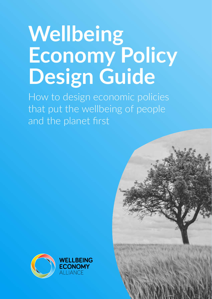# **Wellbeing Economy Policy Design Guide**

How to design economic policies that put the wellbeing of people and the planet first



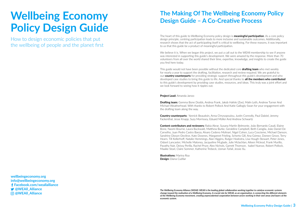## **The Making Of The Wellbeing Economy Policy Design Guide – A Co-Creative Process**

The heart of this guide to Wellbeing Economy policy design is **meaningful participation**. As a core policy design principle, centring participation leads to more inclusive and sustainable outcomes. Additionally, research shows that the act of participating itself is critical to wellbeing. For these reasons, it was important to us that this guide be a product of meaningful participation.

We believe it is. When we began this project, we put a call out to the WEAII membership to see if anyone was interested in supporting this guide's development. We were amazed by the response. More than 70 volunteers from all over the world shared their time, expertise, knowledge, and insights to create the guide you find here today.

This guide would not have been possible without the dedicated core **drafting team** who met weekly for nearly a year to support the drafting, facilitation, research and review required. We are grateful to our **country counterparts** for providing strategic support throughout this guide's development and who developed case studies to bring this guide to life. And special thanks to **all the members who contributed** to this guide's development by providing case studies, resources, and ideas. This truly was a joint effort and we look forward to seeing how it ripples out.

### **Project Lead:** Amanda Janoo

**Drafting team:** Gemma Bone Dodds, Andrea Frank, Jakob Hafele (Zoe), Malin Leth, Andrew Turner And Michael Weatherhead. With thanks to Robert Pollock And Katie Gallogly-Swan for your engagement with the drafting team along the way.

**Country counterparts:** Yannick Beaudoin, Anna Chrysopoulou, Justin Connolly, Paul Dalziel, Jeremy Fackenthal, Jesse Knapp, Suzy Morrissey, Eduard Müller And Andrew Schwartz

**Content contributors and reviewers:** Rabia Abrar, Susana Martin Belmonte, João Bernardo Casali, Elaine Bone, Naomi Bourne, Laura Buckwald, Matthew Burke, Geraldine Campbell, Beth Caniglia, João Daniel De Carvelho, Juan Pedro Castro Baeza, Alvaro Cedeno Molinari, Nigel Cohen, Luca Coscieme, Michael Danson, Sandrine Dixson-Declève, Kate Downes, Margareet Frieling, Scherto Gill, Ana Gómez, Doreen Grove, Terry Hearn, Till Kellerhoff, Natalie Hemmings, Alan Higgins, Rutger Hoekstra, Lisa Hough-Stewart, Peter Jones, Osbert Lancaster, Michelle Maloney, Jacqueline Mcglade, Julie Mclachlan, Aileen Mcleod, Frank Murillo, Pavathy Nair, Deissy Perilla, Rachel Pryor, Alex Nichols, Garrett Thomson, Isabel Nuesse, Robert Pollock, Maaike Stoel, Claire Sommer, Katherine Trebeck, Usman Tufail, Jessie Xu.

**Illustrations:** Marina Roa **Design:** Diana Cuéllar

# **Wellbeing Economy Policy Design Guide**

How to design economic policies that put the wellbeing of people and the planet first

**wellbeingeconomy.org info@wellbeingeconomy.org Facebook.com/weallalliance** *<u>S* @WEAll Alliance</u>  **@WEAll\_Alliance**

*The Wellbeing Economy Alliance (WEAll): WEAll is the leading global collaboration working together to catalyse economic systems change toward the realisation of a Wellbeing Economy. A crucial role for WEAll, as an organisation, is connecting the different elements of the Wellbeing Economy movement, creating unprecedented cooperation between actors working in their own areas and layers of the economic system.*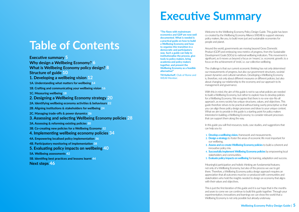# **Table of Contents**

**Executive summary 5**

**[Why design a Wellbeing Economy? 6](#page-3-0)**

**What is Wellbeing Economy policy design? 8 [Structure of guide](#page-5-0) 10**

- **[1. Developing a wellbeing vision](#page-6-0) 12**
- **[1A. Understanding what matters for wellbeing](#page-7-0) 14**
- **[1B. Crafting and communicating your wellbeing vision](#page-8-0) 16**
- **[1C. Measuring wellbeing](#page-9-0) 18**
- **[2. Designing a Wellbeing Economy strategy](#page-10-0) 20**
- **[2A. Identifying wellbeing economy activities & behaviours](#page-11-0) 22**
- **[2B. Aligning institutions & stakeholders for wellbeing](#page-12-0) 24**
- **[2C. Managing trade-offs & power dynamics](#page-13-0) 26**
- **[3. Assessing and selecting Wellbeing Economy policies](#page-14-0) 28**
- **[3A. Assessing & reforming existing policies](#page-15-0) 30**
- **[3B. Co-creating new policies for a Wellbeing Economy](#page-16-0) 32**
- **[4. Implementing wellbeing economy policies](#page-17-0) 34**
- **[4A. Empowering localised policy implementation](#page-18-0) 36**
- **[4B. Participatory monitoring of implementation](#page-19-0) 38**
- **[5. Evaluating policy impacts on wellbeing](#page-20-0) 40**
- **[5A. Wellbeing assessments](#page-21-0) 42**
- **[5B. Identifing best practices and lessons learnt](#page-22-0) 44**

**[Next steps](#page-23-0) 46**

# **Executive Summary**

Welcome to the Wellbeing Economy Policy Design Guide. This guide has been co-created by the Wellbeing Economy Alliance (WEAll) to support visionary policy makers, like you, to build more just and sustainable economies for people and planet.

Around the world, governments are moving beyond Gross Domestic Product (GDP) and embracing new metrics of progress, from the Sustainable Development Goals (SDGs) to national wellbeing indicators. This movement is significant, as it moves us beyond a focus on 'means', i.e. economic growth, to a focus on the achievement of 'ends', i.e. our collective wellbeing.

The challenge is that our current economic thinking has not only determined our measurements of progress, but also our government structures, societal power dynamics and cultural narratives. Developing a Wellbeing Economy is, therefore, not only about different measures or different policies, but also about changing our relationship to the economy and our approach to its management and governance.

With this in mind, the aim of this guide is not to say what policies are needed to build a Wellbeing Economy, but rather to explore how to develop policies for a Wellbeing Economy. We recognise that there is no-one-size-fits-all approach, as every society has unique structures, values, and objectives. This guide therefore strives to be practical without being overly prescriptive so that you can align these policy design processes and ideas to your unique context. What we aim to provide in this guide is a starting point for policy makers interested in building a Wellbeing Economy; to consider relevant processes that can support them along the way.

In this guide you will find resources, tools, case studies, and suggestions that

can help you to:

**1. Develop a wellbeing vision,** framework and measurements. **2. Design a strategy** to foster the areas of economic life most important for

**3. Assess and co-create Wellbeing Economy policies** to build a coherent and

- 
- our wellbeing.
	-
- innovative policy mix.
- stakeholders and communities.
- 

**4. Successfully implement Wellbeing Economy policies** by empowering local

**5. Evaluate policy impacts on wellbeing** for learning, adaptation and success.

Meaningful participation and holistic thinking are fundamental features; not only of a Wellbeing Economy, but also of the process we use to get there. Therefore, a Wellbeing Economy policy design approach requires an appreciation that all outcomes must be co-produced with communities and stakeholders who hold the insights needed to design an economy that aligns with their values and objectives.

This is just the first iteration of this guide and it is our hope that in the months and years to come we can continue to build this guide together. Through your experimentation, innovations and learnings we can show the world that a Wellbeing Economy is not only possible but already underway.

**Till Kellerhoff**, Club of Rome and WEAll Member.

**"The flaws with mainstream economics and GDP are now well documented. What is needed is a practical guide on how to build a Wellbeing Economy and how to organise this transition in a democratic and participatory way. Such a guide can help to institutionalise the process, give tools to policy makers, bring academia and policy makers together, and present the Wellbeing Economy as a feasible alternative!"**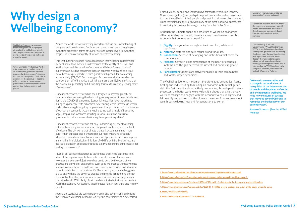# <span id="page-3-0"></span>**Why design a Wellbeing Economy?**

Around the world we are witnessing important shifts in our understanding of 'progress' and 'development'. Societies and governments are moving beyond evaluating progress in terms of GDP or average income levels to evaluating progress in terms of our quality of life and collective wellbeing.

Our current economic system has been designed to promote growth, not balance, and we are seeing the devastating consequences of these imbalances during the COVID-19 pandemic. Economic inequalities have skyrocketed during this pandemic, with billionaires experiencing record increases in wealth while billions struggle to get by on government support schemes<sup>3</sup>. The injustice of our current economic system is leading to increasing levels of insecurity, anger, despair, and loneliness, resulting in social unrest and distrust of governments that are seen as facilitating these gross inequalities $^4$ .

This shift in thinking comes from a recognition that wellbeing is determined by much more than money. It is determined by the quality of our lives and relationships, and the security of our futures. We have focused much of our efforts on building economies that can generate wealth and as a result we've become quite good at it, with global wealth per adult now reaching approximately \$77,000<sup>1</sup>. Such averages of course seem ludicrous when we consider that half of humanity is still living on less than  $$5.50$  a day<sup>2</sup> and that the way we are generating and distributing this wealth is actually leaving many of us worse off.

Our current economic system is not only undermining our social wellbeing but also threatening our very survival. Our planet, our home, is on the brink of collapse. The UN warns that climate change is accelerating much more quickly than expected and is threatening our food, water and air supply<sup>5</sup>. Moreover, researchers warn that our systems of production and consumption are resulting in a 'biological annihilation' of wildlife, with biodiversity loss and the rapid extinction of billions of species rapidly undermining our prospects for healing our ecosystem<sup>6</sup>.

- 1. **Dignity:** Everyone has enough to live in comfort, safety and happiness.
- **2. Nature:** A restored and safe natural world for all life.
- **3. Connection:** A sense of belonging and institutions that serve the common good.
- **4. Fairness:** Justice in all its dimension is at the heart of economic systems, and the gap between the richest and poorest is greatly reduced.
- **5. Participation:** Citizens are actively engaged in their communities and locally rooted economies.

Much of our collective hesitation to tackle these crises head-on comes from a fear of the negative impacts these actions would have on 'the economy'. However, the economy is just a word we use to describe the way that we produce and provide for one another. Every good we produce ultimately comes first and foremost from the earth, and every service we provide is valuable in so far as it contributes to our quality of life. The economy is not something given, it is us, and we have the power to produce and provide things to one another in a way that heals historic injustices, empowers individuals, and regenerates our natural world. With clarity of vision and coordinated effort, we can create a Wellbeing Economy. An economy that promotes human flourishing on a healthy planet.

Around the world, we are seeing policy makers and governments embracing the vision of a Wellbeing Economy. Chiefly, the governments of New Zealand,

Finland, Wales, Iceland, and Scotland have formed the Wellbeing Economy Governments (WEGO) partnership to support one another to build economies that put the wellbeing of their people and planet first. However, this movement is not constrained to the North with many of the most innovative approaches to Wellbeing Economy policy design coming from the Global South.

Although the ultimate shape and structure of wellbeing economies differ depending on context, there are some core dimensions of this economy that unite us in our need for:

The Wellbeing Economy movement therefore goes beyond just fixing, healing and redistributing to building an economic system that gets it right the first time. It is about actively co-creating, through participatory processes, the better world we envision. It is about changing the way we view, manage and engage with the economy to ensure dignity and fairness. By recognising that the ultimate measure of our success is not wealth but wellbeing now and for generations to come.

- **2. https://www.oxfam.org/en/5-shocking-facts-about-extreme-global-inequality-and-how-even-it**
- **3. https://www.theguardian.com/business/2020/oct/07/covid-19-crisis-boosts-the-fortunes-of-worlds-billionaires**
- **4. https://www.bloomberg.com/opinion/articles/2020-11-14/2020-s-covid-protests-are-a-sign-of-the-social-unrest-to-come**
- **5. https://www.ipcc.ch/reports/**
- **6. https://www.pnas.org/content/114/30/E6089**

**Andrew Schwartz** (Ecociv)- WEAll Member

**"We need a new narrative and a change in our worldview. A recognition of the interconnection of people and the planet - of social and environmental wellbeing. We need new measures of success that move us beyond GDP and to recognise the inadequacy of our current system."**

**Wellbeing Economy: An economy that is designed with the purpose of serving the wellbeing of people and the planet first and foremost; in doing so, it delivers social justice on a healthy planet.** 

**Gross Domestic Product (GDP): The total monetary or market value of all the finished goods and services produced within a country's borders in a specific time period. GDP fails to account for the positive or negative effects created in the process of production and development - which are key to a thriving society and planet.**

**Economy: The way we provide for one another's wants and need.** 

**Economics: refers to what we decide the purpose of an economy should be and comprises the models and theories people have created and chose to use to deliver on this purpose.**

**The Wellbeing Economy Governments (WEGo) Partnership: WEGo is a collaboration of national and regional governments promoting sharing of expertise and transferrable policy practices, with the aim to deepen their understanding and advance their shared ambition of building Wellbeing Economies. WEGo was sparked by WEAll and currently comprises Scotland, New Zealand, Iceland, Wales, and Finland.**

**<sup>1.</sup> https://www.credit-suisse.com/about-us/en/reports-research/global-wealth-report.html**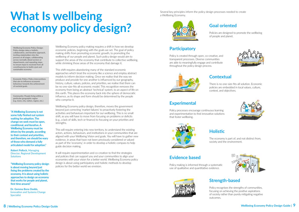# **What Is wellbeing economy policy design?**

Wellbeing Economy policy making requires a shift in how we develop economic policies, beginning with the goals we set. The goal of policy making shifts from promoting economic growth, to promoting the wellbeing of our people and planet. Such policy design would aim to support the areas of the economy that contribute to collective wellbeing, while shrinking those areas of the economy that damage it.

This shift requires abandoning many of the standard economic approaches which treat the economy like a science and employ abstract models to inform decision making. Once we realise that the way we produce and provide for one another is influenced by our geography, history, culture, values, policies, and priorities, we realise that there can be no one-size-fits-all economic model. This recognition removes the economy from being an abstract 'technical' system, to an aspect of life on this earth. This places the economy back into the sphere of democratic influence, as its shape and form should be determined by the people who comprise it.

**Robert Pollock,** Managing Director, Regional Development **Solutions** 

Wellbeing Economy policy design, therefore, moves the government beyond just correcting 'market failures' to proactively fostering the activities and behaviours important for our wellbeing. This is no small shift, as you will have to move from focusing on problems or deficits (e.g., a lack of skills, tech or finance) to focusing on your priorities and strengths.

This will require entering into new territory, to understand the existing actors, actions, behaviours, and institutions in your communities that are aligned with your Wellbeing Vision and goals. You will have to gather new evidence, in areas that have not been previously considered or valued as part of the 'economy', in order to develop a holistic compass to help guide decision making.

It will require experimentation and co-creation to find the strategies and policies that can support you and your communities to align your economies with your vision for a better world. Wellbeing Economy policy design is about using participatory and holistic methods to develop policies for the better world we envision.

**"A Wellbeing Economy is not some fully fleshed out system waiting for adoption. The change we seek must be open, conditional, and iterative. A Wellbeing Economy must be driven by the people, according to their context and priorities, and therefore, we should be wary of those who demand a fully articulated model for adoption."** 

**Dr. Gemma Bone Dodds,**  Innovation and Systems Change Specialist

**"Wellbeing Economy policy design is about moving beyond just fixing the problems created by the economy. It is about using holistic approaches to design an economy that works for people and planet, first time around."**

**Wellbeing Economy Policy Design: Policy design takes a holistic, collaborative, and iterative approach, inviting stakeholders into the process at all stages, collaborating across normally siloed sectors or departments, and repeating steps to ensure input is received from all constituencies to build a just and sustainable economy**

**Economic Policy: Policy interventions that aim to influence economic behaviour towards the achievement of societal goals.**

**Community: People living within a particular geographic region (e.g. town, city, nation, region, etc.)**

Several key principles inform the policy design processes needed to create a Wellbeing Economy.



**Goal oriented**

Policies are designed to promote the wellbeing of people and planet.

## **Participatory**

Policy is created through open, co-creative, and transparent processes. Diverse communities are able to meaningfully engage and contribute throughout the policy design process.



## **Contextual**

There is no one-size-fits-all solution. Economic policies are embedded in local values, culture, context, and objectives.

## **Experimental**

Policy processes encourage continuous learning and experimentation to find innovative solutions that foster wellbeing.



## **Holistic**

The economy is part of, and not distinct from, society and the environment.



## **Evidence based**

Policy making is informed through a systematic use of qualitative and quantitative evidence.



**Strength-based**

Policy recognises the strengths of communities, focusing on achieving the positive aspirations of society rather than purely mitigating negative outcomes.



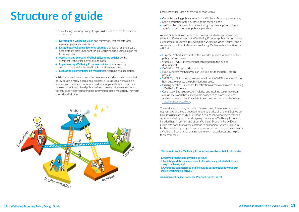

# <span id="page-5-0"></span>**Structure of guide**

This Wellbeing Economy Policy Design Guide is divided into five sections which explore:

- **1. Developing a wellbeing vision** and framework that reflects local values, objectives and contexts
- **2. Designing a Wellbeing Economy strategy** that identifies the areas of economic life most important for our wellbeing and outlines a plan for fostering them
- **3. Assessing and selecting Wellbeing Economy policies** by their alignment with wellbeing values and goals
- **4. Implementing Wellbeing Economy policies** by empowering communities to take the lead in this transformation and,
- **5. Evaluating policy impacts on wellbeing** for learning and adaptation

While these sections are presented in numerical order, we recognise that policy design is rarely a sequential process. It is as much an art as it is a science, and there are continuous feedback loops and interconnections between all of the outlined policy design processes. However we hope this structure helps you to find the information that is most useful for your context and situation.

Each section includes a short introduction with a:

- **•** Quote by leading policy makers in the Wellbeing Economy movement,
- **•** Short description of the purpose of the section, and a
- **•** Text box that compares how a Wellbeing Economy approach differs from 'standard' economic policy approaches.

As well, Sub-sections dive into particular policy design processes that relate to different stages of the Wellbeing Economy policy design process. (For example, in Section 1: Developing a Wellbeing Vision, you will find a sub-section on 'How to Measure Wellbeing'. Within each subsection, you will find:

- **•** Purpose: A short statement on the intended purpose/outcome of the policy design process
- **•** Quotes: By WEAll members that contributed to the guides' development
- **•** Definitions: Of key words or phrases
- **•** How: Different methods you can use to execute the policy design process
- **•** WEAll Tips: Guidance and suggestions from the WEAll membership on how best to execute the policy design process
- **•** Guiding question: Questions for reflection as you work towards building a Wellbeing Economy
- **•** Case study: Each sub-section includes one inspiring case study from around the world that relates to the policy design process. You can find more case studies that relate to each section on our website [here](http://weall.org/case-studies)  <weall.org/case-studies>.

The reality is that many of these processes are still emergent, so we do not yet have all the tools needed to operationalise all of them. But we do have inspiring case studies, key principles, and innovative ideas that can serve as a starting point for designing policies for a Wellbeing Economy, included here in Version one of our Wellbeing Economy Policy Design Guide. We hope that as you continue to experiment, you will join us in further developing this guide and support others on their journey towards a Wellbeing Economy, by sharing your relevant experiences and helpful tools, resources.

**"The benefits of the Wellbeing Economy approach are that it helps us to:**

**1. Apply a broader lens of what is of value;**

**2. Look beyond the here and now, to the ultimate goal of what we are trying to achieve; and**

**3. Overcome common silos and encourage collaboration towards our shared wellbeing objectives"**

**Dr. Margreet Frieling**- Associate Principal, Kōtātā Insight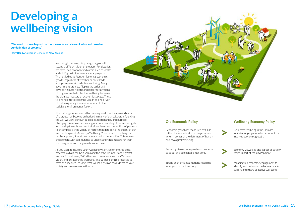# <span id="page-6-0"></span>**Developing a wellbeing vision**

Wellbeing Economy policy design begins with setting a different vision of progress. For decades, we have used economic indicators such as wealth and GDP growth to assess societal progress. This has led us to focus on fostering economic growth, regardless of whether or not it leads to improvements in collective wellbeing. Many governments are now flipping the script and developing more holistic and longer-term visions of progress, so that collective wellbeing becomes the ultimate measure of economic success. These visions help us to recognise wealth as one driver of wellbeing, alongside a wide variety of other social and environmental factors.

The challenge, of course, is that viewing wealth as the main indicator of progress has become embedded in many of our cultures, influencing the way we view our own capacities, relationships, and purpose. Changing this requires expanding our understanding of the economy, its relationship to social and ecological wellbeing and our notion of progress to encompass a wide variety of factors that determine the quality of our lives on this planet. As such, a Wellbeing Vision is not something that can be imposed; it must be co-created with communities. This requires engagement with communities to understand what matters for their wellbeing, now and for generations to come.

As you work to develop your Wellbeing Vision, we offer three policy processes which can help you along the way: 1) Understanding what matters for wellbeing, 2) Crafting and communicating the Wellbeing Vision, and 3) Measuring wellbeing. The purpose of this process is to develop a medium- to long-term Wellbeing Vision towards which your society and government will work.



**"'We need to move beyond narrow measures and views of value and broaden our definition of progress"**

**Patsy Reddy,** Governor-General of New Zealand

### **Wellbeing Economy Policy**

Economic growth (as measured by GDP) is the ultimate indicator of progress, even when it comes at the detriment of human and ecological wellbeing.

### **Old Economic Policy**

Economy viewed as separate and superior to social and ecological dimensions.

Strong economic assumptions regarding what people want and why.

- Collective wellbeing is the ultimate indicator of progress, whether or not that involves economic growth. **>**
	- Economy viewed as one aspect of society, which is part of the environment.
	- Meaningful democratic engagement to identify and understand what matters for current and future collective wellbeing.

**>**

$$
\rightarrow
$$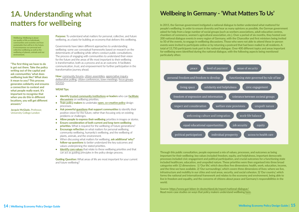**Purpose:** To understand what matters for personal, collective, and future wellbeing, as a basis for building an economy that delivers this wellbeing.

Governments have taken different approaches to understanding wellbeing: some use conceptual frameworks based on research on the determinants of wellbeing while others conduct public consultations. The process of engaging with communities to understand their vision for the future and the areas of life most important to their wellbeing is transformative, both as a process and as an outcome. It facilitates communication, trust, and empowerment for further participation in the transformative journey ahead.

**How:** [community forums,](https://www.communitycatalyst.org/doc-store/publications/a_guide_to_organizing_community_forums_jul02.pdf) [citizen assemblies](https://citizensassemblies.org/wp-content/uploads/2018/10/Citizens-Assemblies_EN_web.pdf), [appreciative inquiry,](https://appreciativeinquiry.champlain.edu/learn/appreciative-inquiry-introduction/) [deliberative polling](https://participedia.net/method/147), [citizen conferences, town meetings,](https://participedia.net/method/159) [focus groups,](https://ctb.ku.edu/en/table-of-contents/assessment/assessing-community-needs-and-resources/conduct-focus-groups/main) [surveys](https://www.findevgateway.org/sites/default/files/publications/files/mfg-en-toolkit-toolkit-a-guide-to-designing-surveys-2008.pdf).

### **WEAll Tips:**

- **• Identify [trusted community institutions](https://www.lifemosaic.net/images/uploads/Resources/Docs%20(Eng)/BCP_Toolkit.pdf) or leaders** who can **[facilitate](http://www.theworldcafe.com/key-concepts-resources/design-principles/)  [discussions](http://www.theworldcafe.com/key-concepts-resources/design-principles/)** on wellbeing priorities.
- **• Train policy makers** to undertake **[open, co-creative policy](https://www.opengovpartnership.org/wp-content/uploads/2019/06/OGP-Participation-Co-Creation-Toolkit.pdf)** design processes.
- **• Ask powerful [questions](http://aoplslovenia.weebly.com/uploads/2/6/1/5/26152526/_____powerfulquestions.pdf) that support communities** to identify their positive vision for the future, rather than focusing only on existing problems or challenges.
- **• Allow people to express their wellbeing** priorities in images or stories.
- **• Ensure consideration of both current and long-term wellbeing priorities.** What is required for the wellbeing of future generations?
- **• Encourage reflection** on what matters for personal wellbeing, community wellbeing, humanity's wellbeing, and the wellbeing of plants, animals, and the environment.
- **•** When discussing what matters for wellbeing, **ask additional 'why?' follow-up questions** to better understand the key outcomes and values underpinning the stated priorities.
- **• [Identify core values](http://anielski.com/wp-content/documents/Genuine%20Wealth%20Communities.pdf)** that relate to these wellbeing priorities and that can act as guiding principles in the policy design process.

**Guiding Question:** What areas of life are most important for your current and future wellbeing?

## <span id="page-7-0"></span>**1A. Understanding what matters for wellbeing**

## **Wellbeing In Germany - 'What Matters To Us'**

**In 2015, the German government instigated a national dialogue to better understand what mattered for people's wellbeing. In order to ensure diversity and hear as many opinions as possible, the German government asked for help from a large number of social groups (such as workers associations, adult education centres, chambers of commerce, women's agricultural association, etc.). Over a period of six months, they hosted over 200 national dialogue events in every region of Germany, with the Chancellor and first ministers being invited to 50 of the events, to engage in wellbeing discussions. Those who were not able to attend these in-person events were invited to participate online or by returning a postcard that had been mailed to all residents. A total of 15,750 participants took part in the national dialogue. Over 400 different topics and areas important for wellbeing were identified during the national dialogue, with the following aspects being mentioned particularly often:** 



**Wellbeing: Wellbeing is about our quality of life as individuals, communities and societies and how sustainable that will be in the future. It encompasses our personal and collective wellbeing as well as the wellbeing of planets, animals and our environment.** 

**"The first thing we have to do is get out there. Take the policy writing out of the capital and ask communities 'what does wellbeing look like? What does it mean to you? This process generates solidarity and ensures a connection to context and what people really want. It's important to recognise that when you do this in different locations, you will get different answers."** 

**Jacquie McGlade,** Professor, University College London

> **Through this public consultation, people expressed a mix of values, processes, and outcomes as being important for their wellbeing: key values included freedom, equity, and helpfulness, important democratic processes included civic engagement and political participation, and crucial outcomes for a functioning state included healthcare, education, and unspoiled nature. These priorities were then organised into three broad categories with 12 dimensions: 1) 'Our life', which describes five dimensions: health, work, education, income, and the time we have available. 2) 'Our surroundings', which covers three dimensions of lives: where we live, infrastructure and mobility in our cities and rural areas, security, and social cohesion. 3) 'Our country', which forms the national and international framework and relates to the economy and environment, being able to live in freedom and equality, and the concerns of citizens about peace and Germany's responsibilities in the world.**

**Source: https://www.gut-leben-in-deutschland.de/report/national-dialogue/ Read more case studies on ways that policy makers understand wellbeing [here](https://wellbeingeconomy.org/case-studies).**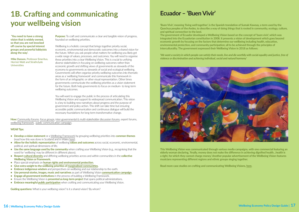**Purpose:** To craft and communicate a clear and tangible vision of progress, founded on wellbeing priorities.

Wellbeing is a holistic concept that brings together priority social, economic, environmental and democratic outcomes into a shared vision for the future. When you ask people what matters for wellbeing you likely get a wide range of values, processes, and outcomes. You will need to organise these priorities into a clear Wellbeing Vision. This is crucial to unifying diverse stakeholders in focusing on wellbeing outcomes rather than economic growth and shifting views of governments as stewards of the economy to governments as stewards of social and ecological wellbeing. Governments will often organise priority wellbeing outcomes into thematic areas as a 'wellbeing framework' and communicate this framework in the form of an infographic or other visual representation. Other times governments communicate the wellbeing priorities as a vision statement for the future. Both help governments to focus on medium- to long-term wellbeing outcomes.

- **• Develop a vision statement** or a [Wellbeing Framework](https://d1ssu070pg2v9i.cloudfront.net/pex/carnegie_uk_trust/2015/03/10161550/Towards-a-wellbeing-framework-short-report-low-res.pdf) by grouping wellbeing priorities into **common themes**  (read how this was done in Scotland and in Wales [here\)](https://wellbeingeconomy.org/case-studies).
- **•** Allow for the holistic representation of wellbeing values and outcomes across social, economic, environmental, political, and spiritual dimensions of life.
- **• Use the same language used by the community** when crafting your Wellbeing Vision (e.g., recognising that the word for 'wellbeing' may be different in different places).
- **• Respect [cultural diversity](https://www.lifemosaic.net/images/uploads/Resources/Docs%20(Eng)/BCP_Toolkit.pdf)** and differing wellbeing priorities across and within communities in the **collective Wellbeing Vision or Framework.**
- **•** Place special emphasis on **[human rights and environmental protection.](https://www.ohchr.org/Documents/Issues/ClimateChange/COP21.pdf)**
- **• Give extra weight to the wellbeing priorities of [marginalised communities.](https://www.undp.org/content/undp/en/home/librarypage/poverty-reduction/what-does-it-mean-to-leave-no-one-behind-.html)**
- **• Embrace indigenous wisdom** and perspectives on wellbeing and our relationship to the earth.
- **• Use personal stories, images, music and narratives** as part of Wellbeing Vision **[communication campaign.](https://www.eltis.org/sites/default/files/trainingmaterials/civitas_toolkit_on_marketing_communications.pdf)**
- **• Engage all government institutions** in the process of building a Wellbeing Framework.
- **•** Ensure the Wellbeing Vision is **presented as long-term project** that spans political administrations.
- **• Embrace meaningful [public participation](https://www.opengovpartnership.org/wp-content/uploads/2019/06/OGP-Participation-Co-Creation-Toolkit.pdf)** when crafting and communicating your Wellbeing Vision.

**Guiding questions:** What is your wellbeing vision? Is it a shared vision? By whom?

You will want to engage the public in the process of articulating this Wellbeing Vision and support its widespread communication. This vision is a key to building new narratives about progress and the purpose of government and policy action. This shift can take time but ensuring accessible public communication and continuous dialogue will build the necessary foundations for long-term transformative change.

**How:** [Community forums,](https://www.communitycatalyst.org/doc-store/publications/a_guide_to_organizing_community_forums_jul02.pdf) [focus groups](https://ctb.ku.edu/en/table-of-contents/assessment/assessing-community-needs-and-resources/conduct-focus-groups/main), [inter-governmental & multi-stakeholder discussion forums,](https://www.opengovpartnership.org/wp-content/uploads/2019/06/OGP-Participation-Co-Creation-Toolkit.pdf) expert forums, [wellbeing framework,](https://d1ssu070pg2v9i.cloudfront.net/pex/carnegie_uk_trust/2016/09/Sharpening-our-Focus.pdf) [public communication campaign](https://www.eltis.org/sites/default/files/trainingmaterials/civitas_toolkit_on_marketing_communications.pdf).

### **WEAll Tips:**

## <span id="page-8-0"></span>**1B. Crafting and communicating your wellbeing vision**

 **'You need to have a strong vision that is widely owned, so that you are not knocked off course by special interest groups and powerful lobbyists along the way'.** 

**Mike Danson,** Professor Emeritus, Herriot-Watt and Strathclyde Universities

## **Ecuador – 'Buen Vivir'**

**'Buen Vivir', meaning 'living well together', is the Spanish translation of Sumak Kawsay, a term used by the Quechua peoples of the Andes, to describe a way of doing things that is rooted in community, ecology, culture, and spiritual connection to the land.** 

**The government of Ecuador developed a Wellbeing Vision based on the concept of 'buen vivir', which was integrated into the Ecuadorian constitution in 2008. It presents a vision of development which goes beyond economic growth by focusing on the factors that determine our wellbeing including health, education, environmental protection, and community participation; all to be achieved through the principles of interculturality. The government expressed their Wellbeing Vision in 2018 as follows:** 

*'We want a society in which people can satisfy their needs, live and die worthily with social equality and justice, free of violence or discrimination and achieving individual, social and natural harmony'* 



**This Wellbeing Vision was communicated through various media campaigns, with one commercial featuring an elderly woman declaring, 'finally, money does not make the difference in achieving dignified health…health is a right, for which they cannot charge money.' Another popular advertisement of the Wellbeing Vision features musicians representing different regions and ethnic groups singing together.** 

**Read more case studies on crafting and communicating Wellbeing Visions, [here](https://wellbeingeconomy.org/case-studies).**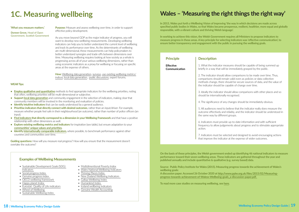## **Wales – 'Measuring the right things the right way'**

**In 2015, Wales put forth a Wellbeing Vision of improving 'the way in which decisions are made across specified public bodies in Wales, so that Wales became prosperous, resilient, healthier, more equal and globally responsible, with a vibrant culture and thriving Welsh language'.** 

**Purpose:** Measure and assess wellbeing over time, in order to support effective policy development.

> **In working to achieve this vision, the Welsh Government requires all Ministers to propose indicators to measure progress in these areas. A key principle for selecting indicators was 'effective communication', to ensure better transparency and engagement with the public in pursuing the wellbeing goals.**

How: [Wellbeing data generation,](https://whatworkswellbeing.files.wordpress.com/2017/07/understanding-wellbeing-locally-july-2018-links.pdf) [surveys,](https://b.3cdn.net/nefoundation/7a378df45fafe612cc_a3m6i6g49.pdf) [use existing wellbeing metrics/](https://www.ituc-csi.org/moving-beyond-gdp?lang=en) [indices](https://www.ituc-csi.org/moving-beyond-gdp?lang=en), [local data generation,](https://whatworkswellbeing.files.wordpress.com/2017/07/understanding-wellbeing-locally-july-2018-links.pdf) [public discussions](https://www.communitycatalyst.org/doc-store/publications/a_guide_to_organizing_community_forums_jul02.pdf), expert forums.

As you move beyond GDP as the major indicator of progress, you will want to develop new wellbeing measurements. Developing wellbeing indicators can help you to better understand the current level of wellbeing and track its performance over time. As the determinants of wellbeing are multi-dimensional, these measurements can help policymakers to better understand synergies and trade-offs between dimensions over time. Measuring wellbeing requires looking at how society as a whole is progressing across all of your various wellbeing dimensions, rather than using economic indicators as a proxy for wellbeing or focusing on specific areas at the expense of others.

**Guiding questions:** How will you measure real progress? How will you ensure that the measurement doesn't overtake the outcome?

- [Multidimentional Poverty Index](https://indicators.report/indicators/i-3/)
- [Wales National Wellbeing Indicators](https://gov.wales/sites/default/files/publications/2019-06/national-indicators-for-wales.pdf)
- Thriving Places Index
- New Zealand Wellbeing Indicators
- Gallup Wellbeing Index
- Humankind Index
- [Iceland wellbeing indicators](https://www.government.is/lisalib/getfile.aspx?itemid=fc981010-da09-11e9-944d-005056bc4d74)
- [Genuine Wealth Accounting](http://anielski.com/wp-content/documents/Genuine%20Wealth%20Communities.pdf)

### **WEAll Tips:**

- **• [Employ qualitative and quantitative](https://b.3cdn.net/nefoundation/575659b4f333001669_ohm6iiogp.pdf)** methods to find appropriate indicators for the wellbeing priorities, noting that often, wellbeing priorities will be multi-dimensional or subjective.
- **• Support [local data generation](https://whatworkswellbeing.files.wordpress.com/2017/07/understanding-wellbeing-locally-july-2018-links.pdf)** and community engagement in the selection of indicators, making clear that community members will be involved in the monitoring and evaluation of policies.
- **• Identify intuitive indicators** that can be easily understood by a general audience.
- **• Prioritise indicators that directly connect with desired outcomes**, rather than an input/driver. For example, measure whether people feel safe in their neighbourhood (an outcome), rather than number of police officers (an input).
- **• [Find indicators t](https://whatworkswellbeing.files.wordpress.com/2017/07/understanding-wellbeing-locally-july-2018-links.pdf)hat directly correspond to a dimension in your Wellbeing Framework** and that have a positive relationship with other dimensions as well.
- **• Explore existing wellbeing metrics and indicators** for inspiration (see table), but ensure adaptation to your **[communities' unique values and priorities.](https://d1ssu070pg2v9i.cloudfront.net/pex/carnegie_uk_trust/2016/09/Sharpening-our-Focus.pdf)**
- **• Identify [internationally comparable indicators,](https://unstats.un.org/unsd/envaccounting/ceea/archive/Framework/nsreport_wellbeing_uk.pdf)** where possible, to benchmark performance against other countries and communities over time.

## <span id="page-9-0"></span>**1C. Measuring wellbeing**

### **'What you measure matters.'**

**Doreen Grove,** Head of Open Government, Scottish Government

### **Examples of Wellbeing Measurements**

- Sustainable Development Goals (SDG) [Indicators](https://unstats.un.org/sdgs/indicators/Global%20Indicator%20Framework%20after%202020%20review_Eng.pdf)
- [Social progress Index](https://www.socialprogress.org/index/global/methodology)
- [Genuine progress index](https://www.economicshelp.org/blog/2666/economics/genuine-progress-indicator-gpi-v-gdp/)
- OECD wellbeing framework
- Happy planet Index
- [Eurostat- Quality of Life indicators](https://ec.europa.eu/eurostat/statistics-explained/index.php/Quality_of_life_indicators)
- Wheel of Wellbeing
- Sustainable Wellbeing Index

**A discussion paper. Accessed 26 October 2020 at http://www.ppiw.org.uk/files/2015/02/Measuringprogress-towards-achievement-of-Waless-Wellbeing-goals\_a-discussion-paper.pdf.** 

**To read more case studies on measuring wellbeing, see [here](https://wellbeingeconomy.org/case-studies).**

| <b>Principle</b>                                                                                                                                                                                                                                                                                                                                                                                                                                 | <b>Description</b>                                                                                                                                                                                                                                                               |
|--------------------------------------------------------------------------------------------------------------------------------------------------------------------------------------------------------------------------------------------------------------------------------------------------------------------------------------------------------------------------------------------------------------------------------------------------|----------------------------------------------------------------------------------------------------------------------------------------------------------------------------------------------------------------------------------------------------------------------------------|
| <b>Effective</b><br>Communication                                                                                                                                                                                                                                                                                                                                                                                                                | 1. What the indicator measures should be capable of being summed up<br>briefly in a way that will be immediately grasped by the public.                                                                                                                                          |
|                                                                                                                                                                                                                                                                                                                                                                                                                                                  | 2. The indicator should allow comparisons to be made over time. Thus,<br>comparisons should remain valid even as policies or data collection<br>methods change, there should be secure sources of data, and the value of<br>the indicator should be capable of change over time. |
|                                                                                                                                                                                                                                                                                                                                                                                                                                                  | 3. Ideally the indicator should allow comparisons with other places and so<br>should be internationally recognised.                                                                                                                                                              |
|                                                                                                                                                                                                                                                                                                                                                                                                                                                  | 4. The significance of any changes should be immediately obvious.                                                                                                                                                                                                                |
|                                                                                                                                                                                                                                                                                                                                                                                                                                                  | 5. All audiences need to believe that the indicator really does measure the<br>outcome effectively and reliably, and the indicator should be understood in<br>the same way by different groups.                                                                                  |
|                                                                                                                                                                                                                                                                                                                                                                                                                                                  | 6. Indicators must provide up-to-date information and with sufficient<br>frequency to allow judgements about progress and to stimulate appropriate<br>action.                                                                                                                    |
|                                                                                                                                                                                                                                                                                                                                                                                                                                                  | 7. Indicators must be selected and designed to avoid encouraging actions<br>that improve the indicator at the expense of wider outcomes.                                                                                                                                         |
|                                                                                                                                                                                                                                                                                                                                                                                                                                                  |                                                                                                                                                                                                                                                                                  |
| On the basis of these principles, the Welsh government ended up identifying 46 national indicators to measure<br>performance toward their seven wellbeing areas. These indicators are gathered throughout the year and<br>published annually and include quantitative & qualitative (e.g. survey based) data.                                                                                                                                    |                                                                                                                                                                                                                                                                                  |
| Source: Public Policy Institute for Wales (2015). Measuring progress towards the achievement of Wales's<br>wellbeing goals:<br>$\mathcal{A}$ and $\mathcal{A}$ and $\mathcal{A}$ and $\mathcal{A}$ and $\mathcal{A}$ and $\mathcal{A}$ and $\mathcal{A}$ and $\mathcal{A}$ and $\mathcal{A}$ and $\mathcal{A}$ and $\mathcal{A}$ and $\mathcal{A}$ and $\mathcal{A}$ and $\mathcal{A}$ and $\mathcal{A}$ and $\mathcal{A}$ and $\mathcal{A}$ and |                                                                                                                                                                                                                                                                                  |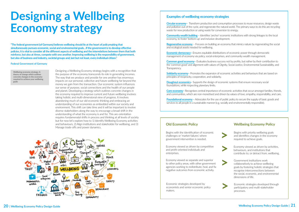# <span id="page-10-0"></span>**Designing a Wellbeing Economy strategy**

Designing a Wellbeing Economy strategy begins with a recognition that the purpose of the economy transcends its role in generating incomes. The way that we produce and provide for one another has enormous impacts on our personal, collective and future wellbeing far beyond the money we gain from the transaction. Our economic system influences our sense of purpose, social connections and the health of our people and planet. Developing a strategy which outlines concrete changes in the economy required to improve current and future wellbeing involves taking holistic and multi-dimensional view of progress. It involves abandoning much of our old economic thinking and embracing an understanding of our economies as embedded within our society and environment. This shift can take time and it will be important to involve diverse stakeholders along the way to encourage a broad shift in the understanding of what the economy is and for. This are-orientation requires fundamenatal shifts in process and thinking at all levels of society but for now let's explore how to 1) Identify Wellbeing Economy activities and behaviours, 2) Align institutions and stakeholder for wellbeing, and 3) Manage trade-offs and power dynamics.



**[Economic democracy](https://www.sciencedirect.com/science/article/abs/pii/S0016328712000596)** – Ensures equitable distributions of economic power through democratic management of economy via policy, social enterprises, and community wealth management.

- 
- 
- **[Regenerative economy](https://capitalinstitute.org/8-principles-regenerative-economy/)** Focuses on building an economy that mimics nature by regenerating the social
	-
- **[Common good economy–](https://www.ecogood.org/what-is-ecg/ecg-in-a-nutshell/)** Evaluates business success not by profits, but rather by their contribution to
	-
	-
	-
	-

**[Solidarity economy](http://avery.wellesley.edu/Economics/jmatthaei/transformationcentral/solidarity/definingsolidarity.html)** – Promotes the expansion of economic activities and behaviours that are based on principles of reciprocity, cooperation, and solidarity.

**[Doughnut economics](https://www.kateraworth.com/doughnut/)** – Supports the design of economic systems that ensure necessary social foundations, while respecting planetary limits.

### **Examples of wellbeing economy strategies**

**[Circular economy](https://www.ellenmacarthurfoundation.org/explore/the-circular-economy-in-detail#:~:text=A%20circular%20economy%20is%20a,the%20consumption%20of%20finite%20resources.)–** Transform production and consumption processes to reuse resources, design waste and pollution out of the cycle, and regenerate the natural world. The primary ways to do this are recycling waste for new production or using waste for conversion to energy.

**[Community wealth building](https://community-wealth.org/content/what-community-wealth-building-and-why-it-so-important) –** Identifies 'anchor' economic institutions with strong linkages to the local economy, to foster 'bottom-up' and inclusive development.

and ecological assets needed for wellbeing.

the 'common good' and alignment with values of Dignity, Social Justice, Environmental Sustainability, and Transparency.

**Core economy–** Recognises central importance of economic activities that occur amongst families, friends, and communities, which are non-monetised and driven by values of love, empathy, responsibility, and care.

**[Foundational economy](https://wiki.p2pfoundation.net/Core_Economy) –** Advocates for the use of public policy to secure the supply of basic goods and services to all people in a sustainable manner (e.g. socially and environmentally responsible).

Begins with the identification of economic challenges or 'market failures' where government intervention is needed.

### **Old Economic Policy**

Economy viewed as driven by competitive and profit-oriented individuals and enterprises.

Economy viewed as separate and superior to other policy areas, with other government agencies working to redistribute, heal, and fix negative outcomes from economic activity.

**>**



### **Federal Government of Germany**

**"The federal government (of Germany) believes wellbeing should lie at the heart of policymaking that simultaneously pursues economic, social and environmental goals…If the government is to develop effective policies, it is vital to consider all the different aspects of wellbeing and the interrelations between them that both reinforce, but also at times, compete with one another. Improving wellbeing is the responsibility of government, but also of business and industry, societal groups and, last but not least, every individual citizen."**

**Wellbeing economy strategy: A theory of change which outlines concrete changes in the economy required to achieve your wellbeing goals** 

> Economic strategies developed by economists and senior economic policy makers.



processes.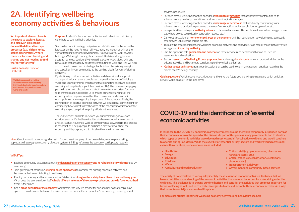## **COVID-19 and the identification of 'essential' economic activities**

**In response to the COVID-19 pandemic, many governments around the world temporarily suspended parts of their economies to slow the spread of the disease. As part of this process, many governments had to identify which types of economic activities were deemed most 'essential' for collective wellbeing and would continue to operate during 'lockdown'. While the exact list of 'essential' or 'key' sectors and workers varied across and even within countries, some common areas included:** 

- **• Healthcare**
- **• Energy**
- **• Education**
- **• Childcare**
- **• Water**
- **• Agriculture and food production**

**Purpose:** To identify the economic activities and behaviours that directly contribute to your wellbeing priorities.

- **• Critical retail (e.g., grocery stores, pharmacies, hardware stores, etc.)**
- **• Critical trades (e.g., construction, electricians, plumbers, etc.)**
- **• Transportation & delivery**
- **• Government and community-based services**

**The ability of policymakers to very quickly identify these 'essential' economic activities illustrates that we have an intuitive understanding of the economic activities that are most important for maintaining collective wellbeing. The challenge is to expand our time horizon and consider the activities that are most important for future wellbeing as well, and to co-create strategies to foster and promote these economic activities in a way that promotes social justice on a healthy planet.** 

**For more case studies identifying wellbeing economy activities and behaviours see [here](https://wellbeingeconomy.org/case-studies)**

**How:** [Genuine wealth accounting,](http://anielski.com/wp-content/documents/Genuine%20Wealth%20Communities.pdf) [discussion forums,](https://neweconomics.org/uploads/files/Framing-the-Economy-NEON-NEF-FrameWorks-PIRC.pdf) [asset mapping](https://www.gcph.co.uk/assets/0000/3433/GCPHCS10forweb_1_.pdf), [citizen assemblies,](https://participedia.net/method/4258) [creative placemaking,](https://www.planning.org/knowledgebase/resource/9146893/) [appreciative inquiry,](https://appreciativeinquiry.champlain.edu/learn/appreciative-inquiry-introduction/) green economy dialogue, [systems thinking,](https://thinkingtoolsstudio.org/) [reframing the economy,](https://neweconomics.org/uploads/files/Framing-the-Economy-NEON-NEF-FrameWorks-PIRC.pdf) [participatory research](https://participedia.net/method/457).

Standard economic strategy design is often 'deficit-based' in the sense that it focuses on the need for external investment, technology or skills as the way of fostering economic development. However, as you work towards building a Wellbeing Economy, it can be useful to take a strength-based approach whereby you identify the existing economic activities, skills and behaviours that are already positively contributing to wellbeing. This will help you to develop an economic strategy that builds on the existing strengths and capacities in your community as the building blocks for your Wellbeing Economy.

By identifying positive economic activities and dimensions for support and expansion it can ensure people see the positive benefits of building a Wellbeing Economy (rather than fearing that promoting social and ecological wellbeing will negatively impact their quality of life). The process of engaging people in economic discussions and decision making is important for longterm transformation as it helps us to ground our understandings of the economy in lived experiences rather than theoretical models and shift our popular narratives regarding the purpose of the economy. Finally, the identification of positive economic activities will be a critical starting point for considering how to best foster the areas of the economy most important for wellbeing so you can prioritise policy efforts in these areas.

These discussions can help to expand your understanding of value and consider areas of life that have traditionally been excluded from economic analysis, such as household work or environmental stewardship. This process is important, as it helps people to embrace a new narrative about the economy and its purpose, and to visualise their role in a new one.

## <span id="page-11-0"></span>**2A. Identifying wellbeing economy activities & behaviours**

**'An important element here is the space to explore, iterate, and discover. This can be done with deliberative-type processes (e.g., citizen juries, stakeholder groups), where there is a focus on learning and sharing and not needing to find the 'correct' answer'**

**Justin Connolly, Director, Deliberate** 

**Wellbeing economic activities and behaviours: Actions made by individuals, institutions and our natural environment that provide for our wants and needs**

### **WEAll Tips:**

- Facilitate community discussions around **[understandings of the economy](https://medium.com/rsa-reports/economics-for-everyone-da08028262a1#.4pc9uqb95) and its relationship to wellbeing** (See UK case study)
- Train government officials on **strength-based approaches** to consider the existing economic activities and behaviours that are contributing to wellbeing
- Employ back casting and have communities / stakeholders **imagine the society has achieved their wellbeing goals.**  What does the economy look like? **What is different in terms of the way we produce and provide for one another?** What is the same?
- Use a **broad definition of the economy,** for example, 'the way we provide for one another', so that people have space to consider areas that may otherwise be seen as outside the scope of the 'economy' e.g., parenting, social

services, nature, etc.

• Pay special attention to your **wellbeing values** and discuss what areas of life people see these values being promoted

- For each of your wellbeing priorities, consider a **wide range of [activities](http://www.equip-project.org/wp-content/uploads/2017/09/E-Industrial-Policy-Design-July-2017.pdf)** that are positively contributing to its achievement e.g., sectors, occupations, producers, services, institutions, etc.
- For each of your wellbeing priorities, consider a **wide range of behaviours** that are directly contributing to its achievement e.g., production processes, patterns of consumption, exchange, distribution, provision, etc.
- e.g., where do you see solidarity, generosity, respect, etc.?
- Carry out discussions of **non-monetised areas of the economy** and their contribution to wellbeing e.g., care work, civic activity, volunteering, mutual aid etc.
- Through the process of identifying wellbeing economic activities and behaviours, take note of those that are viewed as negatively **impacting wellbeing.**
- Use this opportunity to **gather data and evidence** on these activities and behaviours that can be used for assessments and evaluations.
- Support **research on Wellbeing Economy approaches** and engage **local experts** who can provide insights on the existing activities and behaviours contributing to the wellbeing priorities.
- **Gather quotes and stories** from your discussion that can be used to communicate new narratives regarding the drivers of a Wellbeing Economy.

**Guiding question:** Which economic activities currently serve the future you are trying to create and which activities actively works against it in the long term?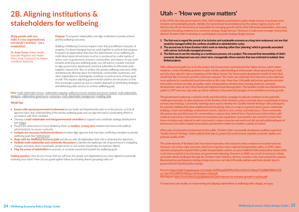**Purpose:** To empower stakeholders and align institutions to jointly achieve priority wellbeing outcomes.

Building a Wellbeing Economy requires more than just different measures of progress, it is about changing how we work together to achieve that progress. It requires an appreciation that since the determinants of our wellbeing are multi-dimensional, all outcomes must be co-produced by a wide variety of actors, such as government, business, communities, and citizens. As you work towards achieving your wellbeing goals, you will want to consider how best to align government departments and local authorities to effectively work together, instead of in silos, to achieve the priority wellbeing outcomes, while simultaneously allowing space for individuals, communities, businesses, and other stakeholders to meaningfully contribute to achievement of these goals as well. This requires adjusting governmental systems and structures so that they encourage a joined-up and co-creative approach to developing strategies and delivering public services to achieve wellbeing goals.

- **• Ensure wide-spread government involvement** (across levels and departments) early on in the process, so that all agencies have clear understanding of the priority wellbeing goals and can take the lead in coordinating efforts in accordance with their mandates
- **•** Develop a **multi-stakeholder and intergovernmental committee** to support and coordinate strategy development (see [Wales](https://wellbeingeconomy.org/case-studies))
- **•** Present the achievement of your Wellbeing Vision as **medium- to long-term** initiative that transcends political administrations, to ensure continuity
- **•** Instigate any necessary institutional reforms to better align agencies that may have conflicting mandates to priority wellbeing goals (Se[e Netherlands](https://wellbeingeconomy.org/case-studies))
- **• Begin with the Wellbeing Economy goals** and discuss with all stakeholders their role in achieving the objectives.
- **• Facilitate multi-stakeholder and community discussions** to identify the legitimate role of government in instigating changes and areas where households, private sector or civil society should take the lead (see [Sikkim](https://www.business-standard.com/article/pti-stories/sikkim-preparing-legislation-for-implementation-of-sdgs-117032701006_1.html)).
- Map the power of stakeholders to promote or constrain movement towards the wellbeing goals.

**How:** multi-stakeholder forums, [stakeholder mapping](https://www.burgehugheswalsh.co.uk/Uploaded/1/Documents/Influence-Diagram-Tool-v2.pdf), [political economy analysis and power analysis,](https://opendocs.ids.ac.uk/opendocs/bitstream/handle/20.500.12413/4340/Power%20Above%20and%20Below%20the%20Waterline%20Bridging%20Political%20Economy%20and%20Power%20Analysis.pdf?sequence=3&isAllowed=y) [multi-stakeholder](https://issuu.com/rsutaria/docs/dialogue_toolkit)  [dialogues](https://issuu.com/rsutaria/docs/dialogue_toolkit), [collaborative governance](https://participedia.net/method/150), [sociocracy,](https://www.sociocracy.info/what-is-sociocracy/) [multi-stakeholder management](https://www.fsnnetwork.org/sites/default/files/en-svmp-instrumente-akteuersanalyse.pdf), [enabling state.](https://d1ssu070pg2v9i.cloudfront.net/pex/carnegie_uk_trust/2019/07/26092551/LOW-RES-3570-ES-Summary-Report-Overview.pdf)

**Guiding question:** How do you ensure that you will have the people and organisations you need aligned to practically achieving your vision? How can you guard against failure by involving diverse groupings early on?

### **WEAll Tips:**

## <span id="page-12-0"></span>**2B. Aligning institutions & stakeholders for wellbeing**

**'Bring people with you, make it cross-organisational, everybody's business - not a competition'**

**Dr. Andy Turner,** Public Health Specialty Registrar and Health Policy Lead, Liverpool City Region Combined Authority

## **Utah – 'How we grow matters'**

**In the 1990s, the state government in Utah, USA instigated a participatory policy design process to promote more inclusive and sustainable growth. Initially, the Government faced resistance by the various regions, towns, and districts who all saw themselves as responsible for managing growth and by other influential stakeholders, who were sceptical of involving residents in an economic strategy design process. However, it made some strategic choices that allowed 'Envision Utah' to develop as a participatory economic strategy design process:** 

- **1. The first was to regard the pursuit of an inclusive and sustainable economy as a long-term endeavour, not one that would be managed within the confines of political or administrative cycles. 2. The second was to frame Envision Utah's work as visioning rather than 'planning,' which is generally associated**
- **with narrow, technically managed processes.**
- **3. The third was to see the visioning as a continuous process, not a project. This ensured that stewardship of Utah's economic development was not a short-term, managerially-driven exercise that was restricted to isolated, time limited projects.**

**With widespread public buy-in for the project, the Government commissioned the 'Values Survey', which asked residents a series of building questions to gain a better understanding of what people valued about living in Utah and why they valued it. Upon completion of the Values Survey, the Government developed a model of what Utah would look like if economic growth continued unabated. This study was extremely time intensive as the state had never gathered or coordinated local information at this scale. More than 140 public and private agencies provided information on land-use data, air quality, water, transportation, infrastructure, housing, business, economic development, open air and critical lands and neighbourhood demographics. This baseline model was released to the public in 1997 and was a big wake up call for residents of the potential damages of uncontrolled economic growth.** 

**The government undertook a massive media and information campaign to educate residents on the potential challenges of growth, to raise awareness of the 'Envision Utah' initiative, and to motivate them to participate in future surveys and meetings. Community meetings were used to develop the 'Quality Growth Strategy' with participants, for example, building their ideal neighbourhoods by placing chips on a map to represent green spaces, residential buildings, mixed-use buildings, employment centres, cultural or civic centres, and retail space. These community discussions also provided space for communities to express their desired form of government intervention; with residents expressing a clear preference for incentives over regulations. Communities also wanted to ensure that these strategies were tailored to each community's unique character and needs and did not add additional layers of bureaucracy, but rather helped communities and decision-makers to consider a variety of choices.**

**After years of exhaustive involvement by the public, 'Envision Utah' successfully developed a publicly supported 'Quality Growth Strategy', which outlined their plan to protect the environment, maintain economic vitality, and promote quality of life:**

**The achievements of 'Envision Utah' have been impressive, from reduced carbon emissions to smarter land-use. However, one of the major successes cited by its organisers was a regional transportation policy. In 1990, voters rejected a proposal to expand Utah's public transportation system, as many residents held conservative values which made them sceptical of tax increases and government planning. However, in 2000, as a result of awareness raising and public debate facilitated through the 'Envision Utah' initiative, all three counties in the state passed the measure. Illustrating how participatory strategy design processes can help shift public opinion and foster greater trust in government for transformative change.** 

**Sources: https://static1.squarespace.com/static/5c059ead36099b1445c1d246/t/5d6ea271ddf8b900016729 ac/1567531638955/History+of+Envision+Utah.pdf RSA Report: https://www.thersa.org/globalassets/pdfs/reports/rsa-inclusive-growth-in-action.pdf**

**To read more case studies on empowering and aligning stakeholders in wellbeing policy design, see [here](https://wellbeingeconomy.org/case-studies).** 

- 
- 
-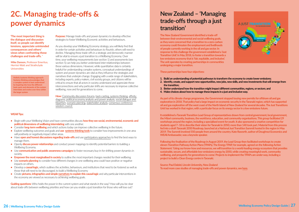**Purpose:** Manage trade-offs and power dynamics to develop effective strategies to foster Wellbeing Economic activities and behaviours.

As you develop your Wellbeing Economy strategy, you will likely find that in order for certain activities and behaviours to flourish, others will need to decline. Managing these trade-offs in a strategic and democratic manner will be vital to ensure a just transition to a Wellbeing Economy. Over time, your wellbeing measurements (see section 1) and assessments (see section 5) can help you better understand inter-relationships between these various dimensions. However, while quantitative data is certainly helpful for understanding complex systems, conceptual understandings of system and power dynamics are vital as they influence the strategies and narratives that underpin change. Engaging with a wide range of stakeholders, including experts, policy makers, civil society groups, and citizens will be critical to ensure that all actors in society understand and appreciate these interconnections and why particular shifts are necessary to improve collective wellbeing, now and for generations to come.

**How:** [Community discussion forums](http://anielski.com/wp-content/documents/Genuine%20Wealth%20Communities.pdf), [back-casting, systems thinking,](https://www.tandfonline.com/doi/abs/10.1080/19460171.2012.704975?journalCode=rcps20) affinity [diagrams](https://asq.org/quality-resources/affinity), [political economy analysis and power analysis,](https://opendocs.ids.ac.uk/opendocs/bitstream/handle/20.500.12413/4340/Power%20Above%20and%20Below%20the%20Waterline%20Bridging%20Political%20Economy%20and%20Power%20Analysis.pdf?sequence=3&isAllowed=y) [social dialogue and](https://www.itcilo.org/courses/tools-and-strategies-strengthening-tripartism-social-dialogue-and-collective-bargaining)  [tripartism,](https://www.itcilo.org/courses/tools-and-strategies-strengthening-tripartism-social-dialogue-and-collective-bargaining) [scenario planning](https://www.cedefop.europa.eu/files/6009_en.pdf), [stakeholder analysis,](https://www.alnap.org/help-library/guidelines-for-stakeholder-identification-and-analysis-a-manual-for-caribbean-natural) [consensus conference,](https://estframe.net/uploads/qyEJ2dPN/et4_manual_cc_binnenwerk_40p.pdf) [wisdom council](https://participedia.net/method/5367) 

**Mike Danson,** Professor Emeritus, Herriot-Watt and Strathclyde **Universities** 

## <span id="page-13-0"></span>**2C. Managing trade-offs & power dynamics**

**'The most important thing is the dialogue and discussion itself, so people can identify tensions, appreciate unintended consequences and others' views when confronting these challenges and trade-offs. '**

### **WEAll Tips:**

- **•** Begin with your Wellbeing Vision and have communities discuss **how they see social, environmental, economic and political dimensions of wellbeing interrelating** with one another.
- **•** Consider **long-term wellbeing** and which actions today can improve collective wellbeing in the future.
- **•** Explore wellbeing outcomes and goals and **use [systems thinking tools](https://oxfamilibrary.openrepository.com/bitstream/handle/10546/579896/ml-systems-thinking-151020-en.pdf?sequence=1)** to consider how improvements in one area will positively or negatively impact other areas.
- **•** Have **open and honest discussions regarding trade-offs** and use [participatory approaches](https://participedia.net/search?selectedCategory=method) to find the best ways to manage them.
- **•** Openly **discuss power-relationships** and conduct power mappings to identify potential barriers to building a Wellbeing Economy.
- **•** Use **communication and public awareness campaigns** to foster necessary buy-in for shifting power dynamics in society.
- **Empower the most marginalised in society** to outline the most important changes needed for their wellbeing
- **•** Use **scenario planning** to consider how different changes in one wellbeing area could have positive or negative impacts on others.
- Develop a **causal logic,** which outlines the activities, behaviours, and institutions that need to be fostered as well as those that will need to be discouraged, to build a Wellbeing Economy
- **•** Create **pictures, infographics and simple [narratives](https://stories.life/) to explain this causal logic** and *why* particular interventions in the economy are viewed as necessary to achieving wellbeing goals.

**Guiding questions:** Who holds the power in the current system and what stands in the way? How will you be clear about trade-offs between wellbeing priorities and how can you enable a just transition for those who will lose out?

## **New Zealand – 'Managing trade-offs through a just transition'**

**The New Zealand Government identified a trade-off between their environmental and social wellbeing goals, as they were concerned that a transition to a zero-carbon economy could threaten the employment and livelihoods of people currently working in the oil and gas sector. In response to this challenge the government established a 'Just Transition Unit' in May 2018, to foster a transition towards a low emissions economy that is 'fair, equitable, and inclusive'. The unit operates by creating partnerships in communities undergoing a major transition.**

### **These partnerships have four objectives:**

- **1. Build an understanding of potential pathways to transform the economy to create lower emissions;**
- **2. Identify, create, and support new opportunities, new jobs, new skills, and new investments that will emerge from the transition;**
- **3. Better understand how the transition might impact different communities, regions, or sectors; and**
- **4. Make choices about how to manage these impacts in a just and inclusive way.**

**As part of its climate change programme, the Government stopped issuing new permits for offshore oil and gas exploration in 2018. That policy had a large impact on economic security in the Taranaki region, which has supported oil and gas exploration off the west coast of the North Island of New Zealand for several decades. The Just Transitions Unit has worked in that region, with a particular focus on its energy sector in a low emissions future.**

**It established a Taranaki Transition Lead Group of representatives drawn from central government, local government, the Māori community, business, the workforce, education, and community organisations. This group facilitated 29 workshops around the region, including a specialised event for youth. It also sponsored a creative competition for students aged 7–18 to describe their vision for Taranaki in 2050; more than 140 took part. Material from this process fed into a draft Taranaki 2050 Roadmap, launched at a National Just Transition Summit hosted in the region in May 2019. The Summit involved 550 people from around the country. Kate Raworth, author of Doughnut Economics and WEAll Ambassador, was a keynote speaker.**

**Following the finalisation of the Roadmap in August 2019, the Lead Group then facilitated workshops to create eleven Transition Pathway Action Plans (TPAPs). The Energy TPAP, for example, agreed on the following Action Statement: 'Using our know-how and resources, we will transition to a world-leading energy ecosystem that provides sustainable, secure, and affordable low-emissions energy by 2050, while creating meaningful work, community wellbeing, and prosperity for generations to come.' Projects to implement the TPAPs are under way, including a project to build a Clean Energy centre in Taranaki.**

**Source: Paul Dalziel, Lincoln University, New Zealand To read more case studies of managing trade-offs and power dynamics, see [here](https://wellbeingeconomy.org/case-studies).** 



**Holistic/systems thinking approach: Systems thinking acknowledges that a complex system is best understood by inquiring into how the different basic parts and elements of the system interrelate and evolve over time within the larger system**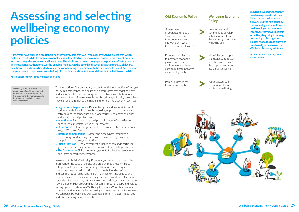# <span id="page-14-0"></span>**Assessing and selecting wellbeing economy policies**

Transformation of systems rarely occurs from the introduction of a single policy, but rather through a series of policy reforms that redefine rights and responsibilities and encourage certain activities and behaviours relative to others. Governments have a broad range of policy tools which they can use to influence the shape and form of the economy, such as:

- **• Legislation / Regulations –** Define the rights and responsibilities of various stakeholders in society by requiring or prohibiting particular activities and/or behaviours (e.g., property rights, competition policy, and environmental protections).
- **• Incentives** Encourage or reward particular types of activities and behaviours (e.g., grants, subsidies, tax rebates).
- **• Disincentives** Discourage particular types of activities or behaviours (e.g., tariffs, taxes, fees).
- **• Information Campaigns –** Gather and disseminate information to encourage or discourage particular behaviours (e.g., buy-local campaigns, databanks, certifications)
- **• Public Provision –** The Government supplies or demands particular goods and services (e.g., education, infrastructure, public procurement).
- **The Commons** Civil society management of collective resources (e.g., non- state or market governance).

In working to build a Wellbeing Economy, you will want to assess the alignment of the suite of policies and programmes already in place with your wellbeing goals and strategy. This assessment requires inter-governmental collaboration, multi-stakeholder discussions, and community consultations to identify which existing policies and programmes should be expanded, adjusted, or phased-out. Once you have identified necessary reforms to existing policies, you can co-create new policies or pilot programmes that can fill important gaps and help to manage your transition to a Wellbeing Economy. While there are many different considerations when assessing and selecting policy instruments, we can begin by looking at 1) assessing and reforming existing policies and 2) co-creating new policy initiatives.

**Dr. Katherine Trebeck,** WEAll Advocacy Lead

**Building a Wellbeing Economy needs everyone with all their ideas, passion and practical delivery. But the role of policy makers and government cannot be downplayed – they create incentives, they reward certain activities, they bring in money, and deploy it. Put together, policies shape the road on which our shared journey towards a Wellbeing Economy will travel.'**

**Katrin Jakobsdottir,** Prime Minister of Iceland

**"Fifty years have elapsed since Robert Kennedy rightly said that GDP measures everything except that which makes life worthwhile. Economics is nonetheless still centred on the measurable, dividing government outlays into two categories: expenses and investment. This dualism classifies money spent on physical infrastructure as an investment and, therefore, worthy of public monies. On the other hand, social infrastructure (e.g., childcare, healthcare, education) is branded as expenses or operating costs, preferably the first in line to be cut. Yet, these are the structures that sustain us from (before) birth to death and create the conditions that make life worthwhile."**

**Wellbeing Economy Policies and programmes: Specific government interventions that contribute to the achievement of wellbeing goals by influencing the behaviour of economic actors** 

Governments encouraged to take a 'hands-off' approach to economy and to intervene only when there are 'market failures'.

## **Old Economic Policy**

Economic policies used to promote economic growth and social and environmental policies used to mitigate negative impacts of growth.

Policies assessed by financial cost vs. benefit. **>**

**>**

### Government and communities develop policies to transform the economy to achieve wellbeing goals.

### **Wellbeing Economy Policy**

**>** Policies assessed by contribution to current and future wellbeing.



All policies are adapted and designed to foster activities and behaviours that support social and ecological wellbeing.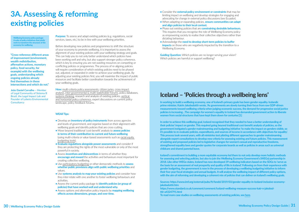**Purpose:** To assess and adapt existing policies (e.g. regulations, social services, taxes, etc.) to be in line with your wellbeing priorities.

Before developing new policies and programmes to shift the structure of your economy to promote wellbeing, it is important to assess the alignment of your existing policies with your wellbeing strategy and goals. This can help you to not only better understand which policies have been working well and why, but also support stronger policy coherence, which is key to ensuring you are not wasting resources on competing or conflicting policies or programmes. The process of re-aligning policies will require consideration of which existing policies need to be phased out, adjusted, or expanded in order to achieve your wellbeing goals. By adjusting your existing policies first, you will maximise the impact of public resources and facilitate better coordination towards the achievement of your wellbeing goals.

**João Daniel Carvalho –** Member of Legal Community of Sistema B Brazil, the Legal Impact Lab and Founder of Lobeira Environmental **Consultancy** 

**How:** [multi-criteria policy assessments,](http://beta.liaise-toolbox.eu/ia-methods/multi-criteria-analysis) [citizen juries,](https://cdn2.hubspot.net/hubfs/316071/Resources/Tools/TOOL%20%7C%20Hosting%20A%20Citizen%20Jury.pdf?__hstc=163327267.b7bc2b80597d7cc76f6518c44e65a061.1608663237164.1608663237164.1608663237164.1&__hssc=163327267.2.1608663237174&__hsfp=1681418002&hsCtaTracking=e8a73ac3-39f6-49a5-8545-81316eff378d%7C925ff157-0972-4bad-984d-5ffaa94014ef) [cross-impact](http://forlearn.jrc.ec.europa.eu/guide/2_design/meth_cross-impact-analysis.htm#Steps)  [analysis](http://forlearn.jrc.ec.europa.eu/guide/2_design/meth_cross-impact-analysis.htm#Steps), [inter-governmental & multi-stakeholder forums](https://www.opengovpartnership.org/wp-content/uploads/2019/06/OGP-Participation-Co-Creation-Toolkit.pdf), policy databases, [systems thinking](https://thinkingtoolsstudio.org/), research and analysis of existing policies, vertical [and horizontal policy coherence,](https://www.oecd.org/gov/pcsd/Proposal%20for%20an%20online%20course%20on%20PCSD.pdf) expert discussions on current policy landscape, policy feedback forums.

## <span id="page-15-0"></span>**3A. Assessing & reforming existing policies**

**Wellbeing Economy policy package: A suite of policy initiatives that jointly work to transform the structure of the economy for wellbeing**

**"Cross-reference different areas of improvement (environment, wealth redistribution, affirmative actions, monetary policy, food security, for example) with the wellbeing goals, understanding which ongoing policies already find themselves in these intersections and which do not."** 

## **Iceland – 'Policies through a wellbeing lens'**

**In working to build a wellbeing economy, one of Iceland's primary goals has been gender equality. Icelandic prime minister, Katrin Jakobsdottir wrote, 'As governments are slowly turning their focus from raw GDP-driven measurements toward wellbeing criteria when judging economic success, the demand for progressive social justice policies is increasing…The campaign for women's equality in Iceland has demanded government action to liberate women from social structures that have kept them down for centuries.'[1]**

**In order to achieve this wellbeing goal, Iceland recognised that they needed to have a better understanding of their policies' impact on gender. This required going beyond traditional cost-benefit analysis of policies, so the government instigated a gender mainstreaming and budgeting initiative 'to make the impact on genders visible, so it's possible to re-evaluate policies, expenditures, and sources of income in accordance with objectives for equality'. This process took several years, with all ministries test piloting different approaches to gender mainstreaming alongside expert consultations to develop new criteria for assessing existing and future policies. This reassessment of existing and proposed policies led to legislative changes for women's sexual and reproductive freedoms, strengthened equality laws and gender quotes for corporate boards as well as policies in areas such as universal childcare and shared parental leave.** 

**Guiding Question:** Which policies are no longer serving your vision? Which policies are harmful or support wellbeing?

**Iceland's commitment to building a more equitable economy led them to not only develop more holistic methods for assessing and selecting policies, but also to join the Wellbeing Economy Government's (WEGo) partnership in 2018. Like other WEGo states, Iceland has now developed 39 wellbeing indicators based on the SDGs to 'serve as the basis for an assessment of real prosperity and quality of life in Iceland'. Following on from their experience with gender budgeting, the government is now in the process of developing a wellbeing budgeting initiative to inform their five-year fiscal strategies and annual budgets. It will analyse the wellbeing impact of different policy options, with the aim of reforming and developing a coherent mix of policies that can deliver on Iceland's wellbeing goals.**

**Sources: https://www.imf.org/external/pubs/ft/fandd/2019/03/gender-equality-in-Iceland-inclusive-economyjakobsdottir.htm https://www.standard.co.uk/comment/comment/iceland-wellbeing-measure-success-katr-n-jakobsd-**

**ttir-a4324791.html To read more case studies on wellbeing assessments of existing policies, see [here](https://wellbeingeconomy.org/case-studies).** 

### **WEAll Tips:**

- **•** Develop an **inventory of policy instruments** from across agencies and levels of government, and organise based on their alignment with wellbeing goals and identify policies that are cross-cutting.
- **•** Move beyond traditional 'cost-benefit' analysis to **assess policies in terms of their contribution to current and future wellbeing**  (using multi-criteria or value-based assessments such as [racial equity](https://www.transformgov.org/programs-and-projects/racial-equity-budgeting-tools)  [budgeting tools](https://www.transformgov.org/programs-and-projects/racial-equity-budgeting-tools)).
- **• Evaluate regulations alongside power assessments** and consider if they are protecting the rights of the most vulnerable or only of the most powerful in society.
- **•** Assess **incentives and disincentives** in terms of whether they **encourage and reward** the activities and behaviours most important for creating collective wellbeing.
- **•** Use [participatory budgeting](https://www.participatorybudgeting.org/) or other democratic methods to **assess whether public provisions align with public wellbeing priorities** and values.
- **•** Use **systems analysis to map your existing policies** and consider how they inter-relate with one another to foster wellbeing behaviours and activities.
- **•** Assess the current policy package to **identify policies (or group of policies) that have worked well and understand why.**
- **•** Assess options and alternative policy impacts by **mapping wellbeing effects across dimensions, groups, and over time.**
- Consider the **external policy environment or constraints** that may be limiting impact on wellbeing and develop strategies for engaging and advocating for change in external policy discussions (see Ecuador).
- **•** When adapting or expanding policies, **ensure communities can adapt and align policies to their local context.**
- **•** Phase out existing policies that are **constraining desirable behaviours.**  This requires that you recognise the role of Wellbeing Economy policy as empowering society to realise their collective objectives rather than dictating behaviour.
- **•** Acknowledge the **need to develop short-term policies to buffer impacts** on those who are negatively impacted by the transition to a Wellbeing Economy.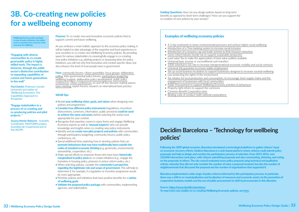**Purpose:** To co-create new and innovative economic policies that to support current and future wellbeing.

As you embrace a more holistic approach to the economy policy making, it will be helpful to take advantage of the expertise and lived experiences in your societies to co-create new Wellbeing Economy policies. By providing space for various stakeholders to meaningfully engage in co-creating new policy initiatives e.g. piloting projects or proposing ideas for policy initiatives, you will not only find innovative and context specific ideas, but also enhance the level of trust people have in government.

**How:** [community forums,](https://www.communitycatalyst.org/doc-store/publications/a_guide_to_organizing_community_forums_jul02.pdf) [citizen assemblies,](https://citizensassemblies.org/wp-content/uploads/2018/10/Citizens-Assemblies_EN_web.pdf) [focus groups](https://ctb.ku.edu/en/table-of-contents/assessment/assessing-community-needs-and-resources/conduct-focus-groups/main), [deliberative](https://participedia.net/method/147)  [polling](https://participedia.net/method/147), inter-governmental policy forums, [participatory budgeting,](https://www.participatorybudgeting.org/toolkit/) [wellbeing budgets](https://www.cattanach.org.uk/news/childrens-wellbeing-budget/), [deliberative policy development](https://participedia.net/method/5229), [public policy](https://participedia.net/method/5450)  [conferences,](https://participedia.net/method/5450) [citizen conferences](https://participedia.net/method/727), on and off-line decision making spaces, [town meeting](https://participedia.net/method/159), expert forums, research on international best practice.

### **WEAll Tips:**

- **•** Revisit **your wellbeing vision, goals, and values** when designing new policies and programmes.
- **• Consider how different policy instruments** (regulations, incentives, disincentives, commons, information, public provision) **could be used to achieve the same outcomes,** before selecting the one(s) most appropriate for your context.
- **•** Recognise that expertise comes in many forms and engage Wellbeing Economy experts as well as **'unusual suspects'** who can provide knowledge and insights when co-creating new policy instruments.
- **•** Identify and **co-create new pilot projects and policies** with communities through participatory budgeting, community forums, public policy conferences, etc.
- **•** Spend additional time exploring how to develop policies that can **promote behaviours that may have traditionally been outside the realm of standard economic thinking** (e.g. generosity, environmental stewardship, cooperation, etc.)
- **•** Make special efforts to empower those who have been **historically marginalised in policy areas** to co-create initiatives (e.g., engage the homeless in housing policy, prisoners in prison reform policy, etc.).
- **•** When selecting policies, consider the **community's perspective regarding the legitimate role and scope of government.** This will help to determine if, for example, if a regulation or incentive programme would be more appropriate.
- **•** Prioritise policies and initiatives that have positive benefits for a **variety of wellbeing goals.**
- **• Validate the proposed policy package** with communities, implementing agencies, and stakeholders.

## <span id="page-16-0"></span>**3B. Co-creating new policies for a wellbeing economy**

**Wellbeing Economy policy package: A suite of policy initiatives that jointly work to transform the structure of the economy for wellbeing**

**"Engaging with diverse communities to co-create good public policy is highly skilled work. The impact is immense, through the public sector's distinctive contribution to expanding capabilities of current and future generations to live well."**

**Paul Dalziel,** Professor, Lincoln University and author of 'Wellbeing Economics: The Capabilities Approach to Prosperity'

## **Decidim Barcelona – 'Technology for wellbeing policies'**

**Following the 2009 global recession, Barcelona developed a technological platform to gather citizens' input on economic recovery efforts. Dedicim Barcelona is a web-based platform where citizens could submit policy proposals and help to design and monitor the participatory process of selection. From 2015-2016, over 220,000 interactions took place, with citizens submitting proposals and also commenting, debating, and voting on the proposals of others. The city council evaluated every policy proposal using technical and qualitative criteria, whereby they did not only consider the number of votes a proposal received, but also the number of neighbourhoods that discussed the proposal and the number of organisations that supported it.**

**Barcelona implemented a wide range of policy reforms informed by this participatory process. In particular, there was a shift to re-municipalisation and localisation of resources and economic assets via the promotion of cooperative business models and the use of public procurement to shift local economies in this direction.**

**Source: https://www.decidim.barcelona/ To read more case studies on co-creating Wellbeing Economic policies, see [here](https://wellbeingeconomy.org/case-studies).**

**"Engage stakeholders in a process of co-creating and co-producing policies and pilot projects. "**

**Susana Martin Belmont -** Scientific Coordinator, MedTOWN project, Asamblea de Cooperacion por la Paz (ACPP)

### **Examples of wellbeing economy policies**

- [A 3-day workweek to lower environmental pressures and achieve higher social wellbeing](https://friendsoftheearth.eu/publication/sites/default/files/resource_use/2018/foee_sufficiency_booklet)
- [Introduction of a Time banking system to increase social inclusion](https://publications.jrc.ec.europa.eu/repository/bitstream/JRC85642/jrc85642.pdf)
- [Introduction of a resource cap and trade scheme to limit resource extraction](https://zoe-institut.de/en/publication/3339/)
- [Green infant industry border tax to support sustainable production](https://www.un-page.org/files/public/gita_manual_150ppi_full_3.pdf)
- Land value Tax to make the appreciation of land value publicly available
- [Universal basic income](https://www.oecd.org/social/Basic-Income-Policy-Option-2017.pdf) or unconditional cash transfers
- [100% inheritance tax rate to increase intergenerational economic mobility and social cohesion](https://eml.berkeley.edu/~saez/piketty-saezECMA13.pdf)
- [Universal Job guarantee to ensure stable employment](https://www.sciencedirect.com/science/article/abs/pii/S0959652611002101?via%3Dihub)
- [Set up social business incubators to support businesses designed to increase societal wellbeing](https://www.oecd.org/cfe/leed/Social%20entrepreneurship%20policy%20brief%20EN_FINAL.pdf)
- Law protecting the rights of the environment
- [Tax rebates for local production and consumption, to encourage short supply chains and the](https://sustainable-prosperity.eu/policy-database/goal/3/objective/5/channel/1/policy/362/)  [engagement of businesses with local communities](https://sustainable-prosperity.eu/policy-database/goal/3/objective/5/channel/1/policy/362/)
- [Public Procurement to support Wellbeing Economy activities & behaviours](https://www.iisd.org/publications/toward-strategic-public-procurement-latin-america-and-caribbean)
- Property right reform to support the commons
- [Common Benefit Corporation laws](https://www.societabenefit.net/english-information/)
- [Binding code of conduct multi-national corporations](https://wellbeingeconomy.org/wp-content/uploads/2019/08/Seven-Ideas-for-the-G7-2019.pdf)

**Guiding Questions:** How can you design policies based on long-term benefits as opposed to short-term challenges? How can you support the co-creation of new policies by your society?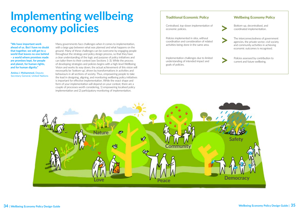# <span id="page-17-0"></span>**Implementing wellbeing economy policies**

Many governments face challenges when it comes to implementation, with a large gap between what was planned and what happens on the ground. Many of these challenges can be overcome by engaging people throughout the strategy and policy design process, so that they have a clear understanding of the logic and purpose of policy initiatives and can tailor them to their context (see Sections 1-3). While the process of developing strategies and policies begins with a high-level Wellbeing Vision and works its way down, the actual achievement of this vision will necessarily be 'bottom-up', driven by transformations in activities and behaviours in all sections of society. Thus, empowering people to take the lead in designing, aligning, and monitoring wellbeing policy initiatives is important for effective implementation. While the exact shape and form of your implementation will depend on your context, there are a couple of processes worth considering, 1) empowering localised policy implementation and 2) participatory monitoring of implementation.



**"We have important work ahead of us. But I have no doubt that together, we will get to a world that leaves no one behind – a world where promises made are promises kept, for people and planet, for human rights, and for human dignity."**

**Amina J. Mohammed,** Deputy Secretary General, United Nations

## **Wellbeing Economy Policy**

Centralised, top-down implementation of economic policies.

### **Traditional Economic Policy**

Bottom-up, decentralised, and coordinated implementation.

Policies implemented in silos, without coordination and consideration of related activities being done in the same area.

Implementation challenges due to limited understanding of intended impact and goals of policies.

The interconnectedness of government agencies, the private sector, civil society and community activities in achieving economic outcomes is recognised.

Policies assessed by contribution to current and future wellbeing.

**>**

**>**

**>**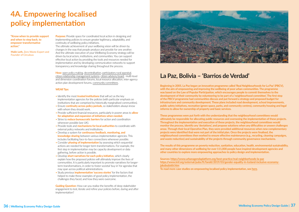**Purpose:** Provide space for coordinated local action in designing and implementing policies to ensure greater legitimacy, adaptability, and continuity of wellbeing policy initiatives.

The ultimate achievement of your wellbeing vision will be driven by changes in the way that people produce and provide for one another. And the ultimate execution of your Wellbeing Economy strategy will be driven by local actors, institutions, and communities. You can support effective local action by providing the tools and resources needed for implementation and by developing communication networks to support transparency and knowledge sharing throughout the process.

**How:** [open policy making](https://oecd-opsi.org/toolkits/open-policy-making-toolkit/), [decentralisation,](https://www.oecd.org/cfe/Policy%20highlights_decentralisation-Final.pdf) [participatory rural appraisal,](https://participedia.net/method/4907) [citizen relationship management systems,](https://books.google.ca/books?id=7foDTBvAaUoC&dq=Citizens%27+Relation+Management+Platform&source=gbs_navlinks_s) [citizen advisory board](https://participedia.net/method/170), multi-level and dimension coordination forums, local resource allocation, inter-agency action plan development forums, [community committees](https://participedia.net/method/4908).

### **WEAll Tips:**

**Guiding Question:** How can you realise the benefits of deep stakeholder engagement to test, iterate and refine your policies before, during and after implementation?



- Identify the most **trusted institutions** that will act as the key implementation agencies for the policies (with particular emphasis on institutions that are comprised by historically marginalised communities).
- Ensure **continuity across policy periods,** so stakeholders always know with whom they should work.
- Provide sufficient financial resources, particularly in poorer areas to **allow for adaptation and expansion of initiatives when needed.**
- Strive to **reduce bureaucratic barriers** for action and coordination whenever possible (see UK).
- Provide tools and **mechanisms for local authorities** to coordinate with external policy networks and institutions.
- Develop a system for **continuous feedback, monitoring, and knowledge-sharing** between various implementation agencies. This includes facilitating face-to-face connections whenever possible.
- Consider **phasing of implementation** by assessing which sequential actions are needed for longer-term transformations. For example, the first step in implementation may be capacity development or data gathering, before action is possible.
- Develop **short narratives for each policy initiative,** which clearly explain how the proposed policies will ultimately improve the lives of communities. It is particularly important to promote narratives for longerterm transformations, in order to foster societal 'buy-in' for agendas that may span across political administrations.
- Study previous **implementation 'success stories'** for the factors that helped to make these examples of good policy implementation, the challenges they faced, and how they were overcome.

## <span id="page-18-0"></span>**4A. Empowering localised policy implementation**

**"Know when to provide support and when to step back, to empower transformative action."**

**Malin Leth,** Zero Waste Expert and Founder of Circulous

## **La Paz, Bolivia – 'Barrios de Verdad'**

**Beginning in 2005, La Paz began an innovative programme called 'Real Neighbourhoods for La Paz' (PBCV), with the aim of empowering and improving the wellbeing of poor urban communities. The programme was based on the Law of Popular Participation, which encourages people to commit themselves to the development of their community by volunteering to be part of a 'neighbourhood committee'. The first step of the PBCV programme had communities discuss and put forward a strategy and proposed budget for infrastructure and community development. These plans included road development, school improvements, public safety initiatives, recreation (green space, parks, and community centres), community housing and legal reforms to allow for ownership of property and basic services.** 

**These programmes were put forth with the understanding that the neighbourhood committees would ultimately be responsible for allocating public resources and overseeing the implementation of these projects. Throughout the implementation and execution of these projects, the neighbourhood committees would monitor the process, identify any 'deviations', and propose solutions when any difficulties or unseen challenges arose. Through their local Operative Plan, they were provided additional resources when new complementary projects were identified that were not part of the initial plan. Once the projects were finalised, the neighbourhood committees then worked to ensure effective maintenance (e.g., recycling, cleaning campaigns, and waste reduction) and sustainability of the projects through community governance mechanisms.** 

**The results of this programme on poverty reduction, sanitation, education, health, environmental sustainability, and many other dimensions of wellbeing for over 111,000 people have inspired development agencies and other countries to explore more empowering approaches to policy design and implementation.**

**Sources: https://www.urbanagendaplatform.org/best-practice/real-neighborhoods-la-paz https://www.imf.org/external/pubs/ft/fandd/2019/03/gender-equality-in-Iceland-inclusive-economyjakobsdottir.htm**

**To read more case studies on empowering localised policy implementation, see [here](https://wellbeingeconomy.org/case-studies).**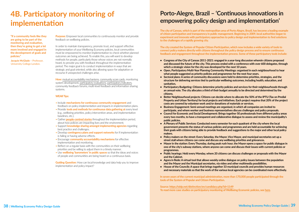**Purpose:** Empower local communities to continuously monitor and provide feedback on wellbeing policies.

In order to maintain transparency, promote trust, and support effective implementation of your Wellbeing Economy policies, local communities must be empowered to monitor implementation to check whether planned outcomes are being achieved. To enable this, you will want to develop methods for people, particularly those whose voices are not normally heard, to provide you with feedback throughout the implementation period. The major goal is to conduct implementation in ways that are strategic and goal oriented, while also allowing space for adaptation or recourse if unexpected challenges arise.

**How:** [mutual accountability mechanisms,](https://documentcloud.adobe.com/link/review?uri=urn%3Aaaid%3Ascds%3AUS%3Abf90ca7c-eae8-421e-9b2f-d22628b8d54b) [community score cards,](https://www.civicus.org/documents/toolkits/PGX_H_Community%20Score%20Cards.pdf) monitoring system development, [participatory evaluations](https://www.betterevaluation.org/en/plan/approach/participatory_evaluation), [participatory indicators](https://www.civicus.org/monitoring-toolkits/toolkit/indicators/), community feedback forums, multi-level feedback and information sharing systems.

### **WEAll Tips:**

**Guiding Question:** How can local knowledge and data help you to improve implementation and policy impact?

- Include **mechanisms for continuous community engagement** and feedback on policy implementation and impacts in implementation plans.
- Provide **tools and methods for continuous data gathering at** every level (e.g., wellbeing priorities, policy intervention areas, and implementation baselines, etc.).
- Gather **[people-centred stories](https://www.civicus.org/monitoring-toolkits/toolkit/impact-story/)** throughout the implementation period, about how policies are impacting lives and the environment.
- Support **knowledge sharing amongst implementing agencies** regarding best practice and challenges.
- Develop **contingency plans and support networks** for if implementation is failing or having adverse effects.
- Encourage **community accountability mechanisms** for effective implementation and monitoring.
- Reflect on a regular basis with the communities on their wellbeing priorities and be willing to adjust them in a timely manner.
- Use **wellbeing 'barometers' in public spaces** so that the ideas and voices of people and communities are being heard on a continuous basis.

## <span id="page-19-0"></span>**4B. Participatory monitoring of implementation**

**"If a community feels like they are going to be part of the monitoring and evaluation, then they're going to get a lot more involved and engaged in the development of goals and policies."**

**Jacquie McGlade –** Professor, University College London.

## **Porto-Alegre, Brazil – 'Continuous innovations in empowering policy design and implementation'**

**The city of Canoas, which is part of the metropolitan area of Porto Alegre, Brazil, has become a leading example of citizen participation and transparency in public management. Beginning in 2009, local authorities began to experiment and innovate with participatory approaches to policy design and implementation to find solutions to the challenges of a rapidly growing city.** 

**The city created the System of Popular Citizen Participation, which now includes a wide variety of tools to connect policy makers directly with citizens throughout the policy design process and to ensure continuous feedback and engagement throughout the implementation process. Some of these participatory tools include:** 

- **• Congress of the City of Canoas 2011-2021: engaged in a year-long discussion wherein citizens proposed and discussed the future of the city. This process ended with a conference with over 600 delegates, through which a strategic vision for the city was developed for the next 10 years.**
- **• Open, Participatory Multi-Year Planning Community Meetings: organised in each neighbourhood to hear what people suggested as priority policies and programmes for the next four years.**
- **• Sectoral plans: A series of community discussions were held to determine priorities, strategies, and the structure for delivering services tied to particular wellbeing outcomes, including health, education, and sanitation,**
- **• Participatory Budgeting: Citizens determine priority policies and services for their neighbourhoods through an annual vote. The city allocates a third of their budget annually to be directed and determined by the citizens.**
- **• Better Neighbourhood projects: Citizens can decide where to allocate the 50% of the IPTU (Tax on Predial Property and Urban Territory) for local projects and initiatives. Each project requires that 20% of the project costs are covered by volunteer work and/or donations of materials or services.**
- **• Business Engagement: Semi-annual meetings are organised, in which all companies are invited to participate, and where worker and business representatives discuss challenges and policy proposals.**
- **• Council for Economic and Social Development: Brings together 50 professionals from different policy areas every two months, to have a transparent and collaborative dialogue to assess and review the municipality's public policies.**
- **• A Plenary of Public Services: Conducted every semester for each quadrant of the city where the local government presents the status of various policies and programmes and are held accountable for achieving their goals with citizens being able to provide feedback and suggestions to the major and other local policy makers.**
- **• Policy makers on the street: Every Saturday, the Mayor, Vice Mayor, and municipal secretaries set up a street stall where citizens can come and discuss any wellbeing priorities and grievances.**
- **• Mayor in the station: Every Thursday, during peak rush hour, the Mayor opens a space for public dialogue in one of the city's subway stations, where anyone can come and discuss their issues with current policies or programmes.**
- **• Public hearings: Held every Monday, where 20 citizens can discuss challenges or proposals with the Mayor and the Cabinet.**
- **• Agora in Rede: A virtual tool that allows weekly online dialogue on policy issues between the population and the Mayor and the Municipal secretaries, via video and other multimedia possibilities.**
- **• House of the Councils: A space that brings together 33 municipal councils and provides human resources and necessary materials so that the work of the various local agencies can be coordinated more effectively.**

**In seven years of the current municipal administration, more than 170,000 people participated through the tools of the System of Popular and Citizen Participation.** 

**Source: https://oidp.net/distinction/en/candidacy.php?id=1149 To read more case studies on participatory monitoring of Wellbeing Economic policies, see [here](https://wellbeingeconomy.org/case-studies).**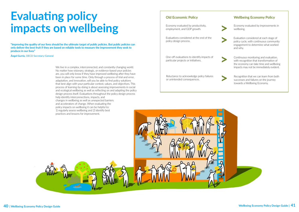# <span id="page-20-0"></span>**Evaluating policy impacts on wellbeing**

We live in a complex, interconnected, and constantly changing world. No matter how visionary, strategic, or evidence-based your policies are, you will only know if they have improved wellbeing after they have been in place for some time. Only through a process of trial and error, adaptation, and innovation, will you be able to find policy solutions that best align with your particular context, values, and objectives. This process of learning-by-doing is about assessing improvements in social and ecological wellbeing as well as reflecting on and adapting the policy design process itself. Evaluations throughout the policy design process help identify interconnections, impacts, and changes in wellbeing as well as unexpected barriers and accelerators of change. When evaluating the policy impacts on wellbeing it can be helpful to: 1) regularly assess wellbeing and 2) identify best practices and lessons for improvement.

**"Improving the quality of our lives should be the ultimate target of public policies. But public policies can only deliver the best fruit if they are based on reliable tools to measure the improvement they seek to produce in our lives"**

**Ángel Gurría,** OECD Secretary-General

## **Wellbeing Economy Policy**

Economy evaluated by productivity, employment, and GDP growth.

### **Old Economic Policy**

Economy evaluated by improvements in wellbeing.

Evaluations considered at the end of the policy design process.

One-off evaluations to identify impacts of particular projects or initiatives.

- Evaluation considered at each stage of policy cycle, with continuous community engagement to determine what worked and why. **>**
	- Continuous monitoring and evaluation, with recognition that transformation of the economy can take time and wellbeing impacts may not be immediately evident.
	- Recognition that we can learn from both successes and failures on the journey towards a Wellbeing Economy.

**>**

**>**

Reluctance to acknowledge policy failures or unintended consequences.

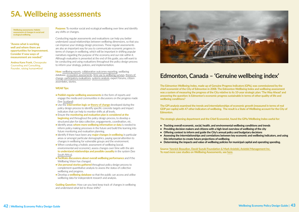**Purpose:** To monitor social and ecological wellbeing over time and identify any shifts or changes.

Conducting regular assessments and evaluations can help you better understand causal relationships between wellbeing dimensions, so that you can improve your strategy design processes. These regular assessments are also an important way for you to communicate economic progress in terms of changes in wellbeing, which will be important in shifting popular narratives regarding the purpose of the economy and our role within it. Although evaluation is presented at the end of this guide, you will want to be conducting and using evaluations throughout the policy design process to inform your strategy, policies, and implementation.

**How:** [wellbeing reports,](https://globalwellnessinstitute.org/industry-research/happiness-wellbeing-index/) [collaborative outcomes reporting,](https://www.betterevaluation.org/sites/default/files/Participatory_Approaches_ENG.pdf) wellbeing database, ecosystem assessments, time use & wellbeing surveys, [theory of](https://www.timeuse.org/sites/ctur/files/public/ctur_report/4486/timeusesurveysandwellbein_tcm77-232153.pdf)  [change](https://www.timeuse.org/sites/ctur/files/public/ctur_report/4486/timeusesurveysandwellbein_tcm77-232153.pdf), [participatory evaluations](https://whatworkswellbeing.files.wordpress.com/2017/05/theory-of-change-community-wellbeing-may-2017-what-works-centre-wellbeing.pdf), [systems analysis](https://www.systemsinevaluation.com/wp-content/uploads/2018/10/SETIG-Principles-FINAL-DRAFT-2018-9-9.pdf), expert forums, citizen assemblies, stories.

### **WEAll Tips:**

**Guiding Question:** How can you best keep track of changes in wellbeing and understand what led to those shifts?



- **• Publish regular wellbeing assessments** in the form of reports and engage the media and communities in discussions on the progress made (See [Scotland](https://wellbeingeconomy.org/case-studies))
- **•** Use the **intervention logic or [theory of change](https://ctb.ku.edu/en/table-of-contents/overview/models-for-community-health-and-development/logic-model-development/main)** developed during the policy design process to identify specific concrete targets and impact indicators that can help to monitor shifts at all levels.
- **•** Ensure the **monitoring and evaluation plan is considered at the beginning** and throughout the policy design process, to develop a structured plan for data collection, engagements, coordination, etc.
- **•** Identify areas **where more wellbeing information or data** is needed to inform policy making processes in the future and build this learning into future monitoring and evaluation planning.
- **•** Identify if there have been any **major changes in wellbeing** in particular areas or amongst particular demographics, paying special attention to changes in wellbeing for vulnerable groups and the environment.
- When conducting a holistic assessment of wellbeing (social, environmental and economic), assess changes over time with the aim **to understand relationships and possible causality** in the system (See [South Africa](https://wellbeingeconomy.org/case-studies)).
- **• Facilitate discussions about overall wellbeing performance** and if the Wellbeing Vision has changed.
- **• Use personal stories gathered** throughout policy design process to complement quantitative analysis to assess the status of collective wellbeing and progress.
- **•** Develop a **wellbeing database** so that the public can access and utilise wellbeing data for independent research and analysis.

## <span id="page-21-0"></span>**5A. Wellbeing assessments**

**"Assess what is working well and where there are opportunities for improvement. Consider if new ways of measurement are needed."**

**Andrea Kane Frank,** Chesapeake Counseling and Consulting, Founder, raising human•kind

## **Edmonton, Canada – 'Genuine wellbeing index'**

**The Edmonton Wellbeing Index, made up of Genuine Progress Indicators (GPIs), was commissioned by the chief economist of the City of Edmonton in 2008. The Edmonton Wellbeing Index and wellbeing assessment was a system of measuring the progress of the City relative to its 10-year strategic plan: 'The Way Ahead' and answering the question: Is Edmonton's economic progress sustainable in terms of other quality of life and wellbeing conditions?** 

**The GPI analysis examined the trends and interrelationships of economic growth (measured in terms of real GDP per capita) with 47 other indicators of wellbeing. The result is a State of Wellbeing account for the City of Edmonton.** 

### **The strategic planning department and the Chief Economist, found the GPIs/Wellbeing Index useful for:**

**• Providing decision makers and citizens with a high-level overview of wellbeing of the city** 

- **• Tracking overall economic, social, health, and environmental wellbeing conditions and trends**
- 
- **• Offering context to inform and guide the City's annual policy and budgetary decisions**
- **• Assessing the interrelationships and correlations between key economic and wellbeing indicators, and using this information to create future projections of wellbeing.**
- **• Determining the impacts and value of wellbeing policies for municipal capital and operating spending.**

**Source: Yannick Beaudion, David Suzuki Foundation & Mark Anielski, Anielski Management Inc. To read more case studies on Wellbeing Assessments, see [here](https://wellbeingeconomy.org/case-studies).**

**Wellbeing assessments: Holistic assessments of changes in social and ecological wellbeing.**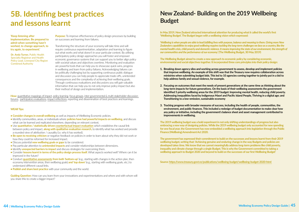**Purpose:** To improve effectiveness of policy design processes by building on successes and learning from failures.

Transforming the structure of your economy will take time and will require continuous experimentation, adaptation and learning to figure out what works and what doesn't in your particular context. By utilising participatory policy design approaches you will foster and empower economic governance systems that can support you to better align policy with societal values and objectives overtime. Monitoring and evaluation are powerful tools that can help you to showcase quick-wins, progress in wellbeing and learn from policy failures. Acknowledging failures can be politically challenging but by supporting continuous public dialogue and discussion you can help people to appreciate trade-offs, unintended consequences and the complexity of achieving their wellbeing goals. Through continuous evaluations and discussions you will gain valuable information that can help you to not only improve policy impact but also their method of design and implementation.

**How:** [quantitative mappings of impact,](https://www.betterevaluation.org/en/themes/impact_evaluation) [policy learning,](https://www.innovationpolicyplatform.org/www.innovationpolicyplatform.org/content/policy-learning/index.html) [focus groups](https://ctb.ku.edu/en/table-of-contents/assessment/assessing-community-needs-and-resources/conduct-focus-groups/main), inter-governmental & multi-stakeholder discussion [forums](https://www.opengovpartnership.org/wp-content/uploads/2019/06/OGP-Participation-Co-Creation-Toolkit.pdf), [participatory evaluations](https://www.betterevaluation.org/en/plan/approach/participatory_evaluation), [impact reflections](https://www.civicus.org/monitoring-toolkits/toolkit/impact-reflections/), reporting and dissemination of best practices and learnings.

### **WEAll Tips:**

- **• Consider changes in overall wellbeing** as well as impacts of Wellbeing Economic policies.
- **•** Identify communities, areas, or individuals where **policies have had powerful impacts on wellbeing,** and discuss what can be learned and replicated elsewhere, depending on relevant context.
- **•** Use **quantitative / statistically driven [counterfactual impact evaluation](https://ec.europa.eu/jrc/en/research-topic/counterfactual-impact-evaluation)** which establishes the causal link between policy and impact, **along with qualitative evaluation research,** to identify what has worked and provide a rounded view of attribution / causality (i.e. why it has worked).
- **• Be open to receiving criticism** or negative feedback on policies in order to learn about why they did not work or how they could be reformed for increased impact.
- **•** Discuss potential **new wellbeing goals or gaps** to be considered.
- **•** Pay particular attention to **unintended impacts** and consider relationships between dimensions.
- **•** Identify **unexpected barriers to impact** and discuss strategies for overcoming them.
- **•** Consider **lessons learnt in terms of the policy design process itself.** What aspects worked well? Where can it be improved in the future?
- Conduct **[quantitative assessments](http://www.equip-project.org/toolbox/) from both 'bottom-up'** (e.g., starting with changes in the action plan, then economy intervention areas, then wellbeing goals) **and 'top down'** (e.g., starting with wellbeing goals, etc.) to understand different causal links.
- **• Publish and share best practice** with your community and the world.

**Guiding Question:** How can you learn from your innovations and experimentations and where and with whom will you share this to create a bigger impact?

## <span id="page-22-0"></span>**5B. Identifing best practices and lessons learnt**

**'Keep listening after implementation. Be prepared to admit when something hasn't worked, to change approach, to try again, to experiment.'**

**Dr. Andy Turner,** Public Health Specialty Registrar and Health Policy Lead, Liverpool City Region Combined Authority

## **New Zealand- Building on the 2019 Wellbeing Budget**

**In May 2019, New Zealand attracted international attention for producing what it called the world's first 'Wellbeing Budget'. The Budget began with a wellbeing vision which expressed:** 

*'Wellbeing is when people are able to lead fulfilling lives with purpose, balance and meaning to them. Giving more New Zealanders capabilities to enjoy good wellbeing requires tackling the long-term challenges we face as a country, like the mental health crisis, child poverty and domestic violence. It means improving the state of our environment, the strength of our communities and the performance of our economy.'* **(The Wellbeing Budget, 30 May 2019)**

**The Wellbeing Budget aimed to create a new approach to economic policy by considering economic, environmental and social objectives together. It incorporated three core principles into their policy design:** 

- **1. Breaking down agency silos and working across government to assess, develop and implement policies that improve wellbeing. An example of this shift was that the Treasury now requires collaboration across ministries when submitting budget bids. This led to 10 agencies coming together to jointly put in a bid to help address family and sexual violence, for example.**
- **2. Focusing on outcomes that meet the needs of present generations at the same time as thinking about the long-term impacts for future generations. On the basis of their wellbeing assessments the government identified 5 priority wellbeing areas for the 2019 budget: Improving mental health, reducing child poverty. Addressing inequalities faced by Indigenous Maori and Pacific Island People, Thriving in a digital age; and Transitioning to a low-emission, sustainable economy**
- **3. Tracking progress with broader measures of success, including the health of people, communities, the environment, and public finances. This included a redesign of budget documentation to make clear how any policy or initiative, including the government's balance sheet and asset management contributed to improvements in wellbeing.**

**The 2019 wellbeing budget was a bold experiment in not only shifting understandings of progress but also embracing a new way of designing policies. While the 2019 wellbeing budget only accounted for new spending for one fiscal year, the Government has now embedded a wellbeing approach into legislation through the Public Finance (Wellbeing) Amendment Act 2020.**

**The government has expressed their commitment to build on the successes and lessons learnt from their 2019 wellbeing budget, writing that: 'Achieving genuine and enduring change in the way Budgets and policies are developed takes time. We know that we cannot meaningfully address long-term problems like child poverty, inequality and climate change through a single Budget. This is why the Government committed to taking a wellbeing approach to Budget 2020 and beyond to build on the successes of our first Wellbeing Budget'** 

**Source: https://www.treasury.govt.nz/publications/wellbeing-budget/wellbeing-budget-2020-html**